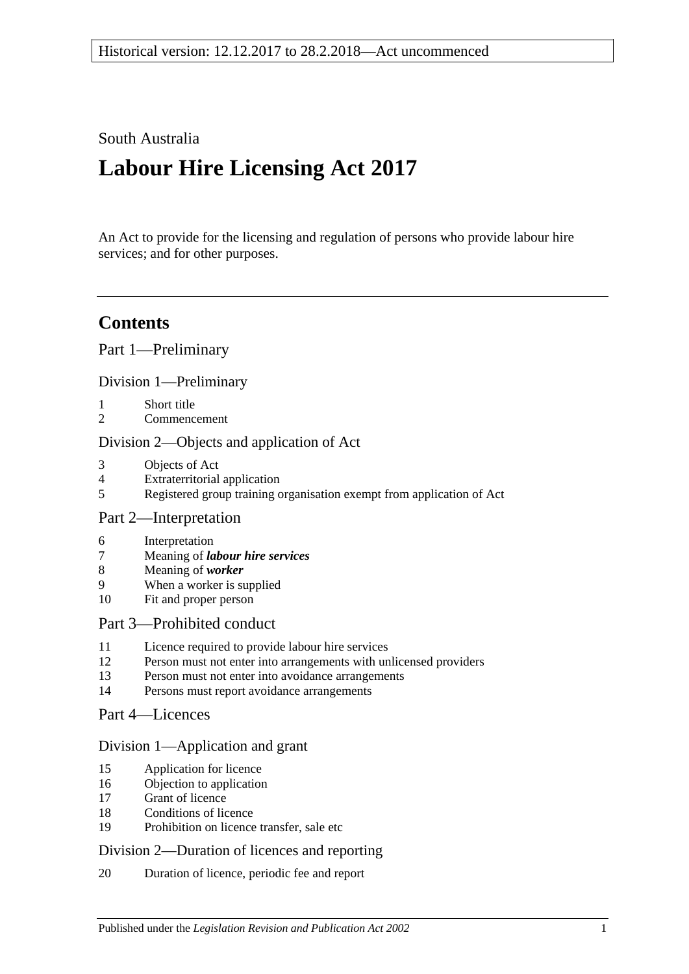### South Australia

# **Labour Hire Licensing Act 2017**

An Act to provide for the licensing and regulation of persons who provide labour hire services; and for other purposes.

# **Contents**

Part [1—Preliminary](#page-2-0)

Division [1—Preliminary](#page-2-1)

- 1 [Short title](#page-2-2)
- 2 [Commencement](#page-2-3)

### Division [2—Objects and application of Act](#page-2-4)

- 3 [Objects of Act](#page-2-5)
- 4 [Extraterritorial application](#page-2-6)
- 5 [Registered group training organisation exempt from application of Act](#page-2-7)

### Part [2—Interpretation](#page-3-0)

- 6 [Interpretation](#page-3-1)
- 7 Meaning of *[labour hire services](#page-4-0)*
- 8 [Meaning of](#page-5-0) *worker*
- 9 [When a worker is supplied](#page-5-1)
- 10 [Fit and proper person](#page-6-0)

#### Part [3—Prohibited conduct](#page-8-0)

- 11 [Licence required to provide labour hire services](#page-8-1)
- 12 [Person must not enter into arrangements with unlicensed providers](#page-8-2)
- 13 [Person must not enter into avoidance arrangements](#page-9-0)
- 14 [Persons must report avoidance arrangements](#page-9-1)
- Part [4—Licences](#page-9-2)

#### Division [1—Application and grant](#page-9-3)

- 15 [Application for licence](#page-9-4)
- 16 [Objection to application](#page-10-0)
- 17 [Grant of licence](#page-11-0)
- 18 [Conditions of licence](#page-12-0)
- 19 [Prohibition on licence transfer, sale etc](#page-12-1)

#### Division [2—Duration of licences and reporting](#page-12-2)

20 [Duration of licence, periodic fee and report](#page-12-3)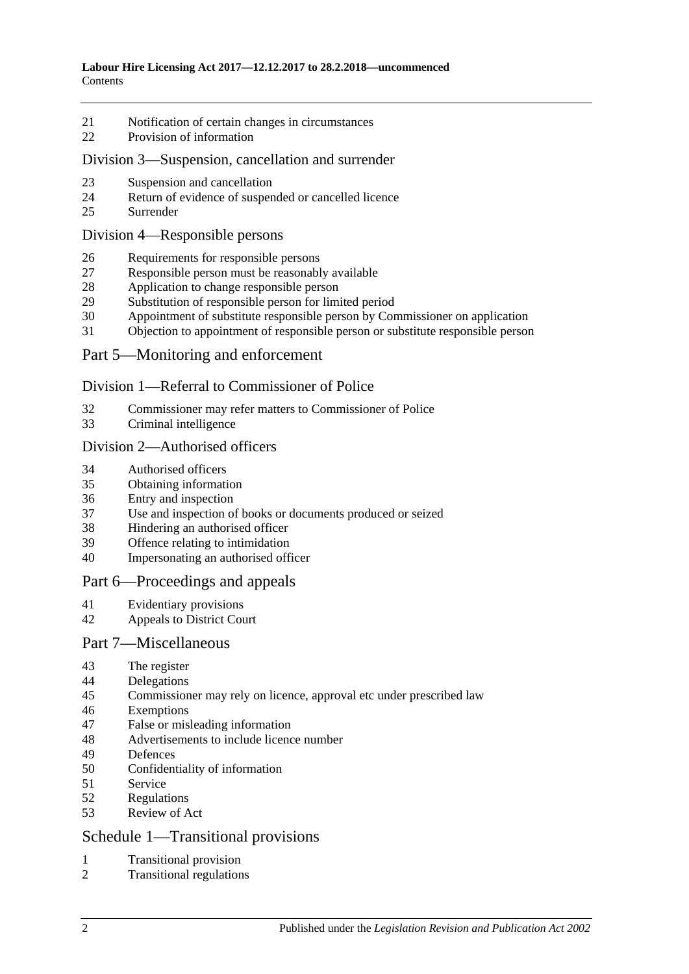- [Notification of certain changes in circumstances](#page-14-0)
- [Provision of information](#page-14-1)

#### Division [3—Suspension, cancellation and surrender](#page-15-0)

- [Suspension and cancellation](#page-15-1)
- [Return of evidence of suspended or cancelled licence](#page-16-0)
- [Surrender](#page-16-1)

#### Division [4—Responsible persons](#page-16-2)

- [Requirements for responsible persons](#page-16-3)
- [Responsible person must be reasonably available](#page-16-4)
- [Application to change responsible person](#page-16-5)
- [Substitution of responsible person for limited period](#page-17-0)
- [Appointment of substitute responsible person by Commissioner on application](#page-18-0)
- [Objection to appointment of responsible person or substitute responsible person](#page-18-1)

### Part [5—Monitoring and enforcement](#page-19-0)

### Division [1—Referral to Commissioner of Police](#page-19-1)

- [Commissioner may refer matters to Commissioner of Police](#page-19-2)
- [Criminal intelligence](#page-19-3)

#### Division [2—Authorised officers](#page-20-0)

- [Authorised officers](#page-20-1)
- [Obtaining information](#page-21-0)
- [Entry and inspection](#page-21-1)
- Use and inspection of [books or documents produced or seized](#page-22-0)
- [Hindering an authorised officer](#page-23-0)
- [Offence relating to intimidation](#page-23-1)
- [Impersonating an authorised officer](#page-23-2)

#### Part [6—Proceedings and appeals](#page-23-3)

- [Evidentiary provisions](#page-23-4)
- [Appeals to District Court](#page-24-0)

#### Part [7—Miscellaneous](#page-25-0)

- [The register](#page-25-1)
- [Delegations](#page-25-2)
- [Commissioner may rely on licence, approval etc under prescribed law](#page-26-0)
- [Exemptions](#page-26-1)
- [False or misleading information](#page-27-0)
- [Advertisements to include licence number](#page-27-1)
- [Defences](#page-27-2)
- [Confidentiality of information](#page-28-0)
- [Service](#page-28-1)
- [Regulations](#page-29-0)
- [Review of Act](#page-29-1)

### Schedule [1—Transitional provisions](#page-29-2)

- [Transitional provision](#page-29-3)
- [Transitional regulations](#page-30-0)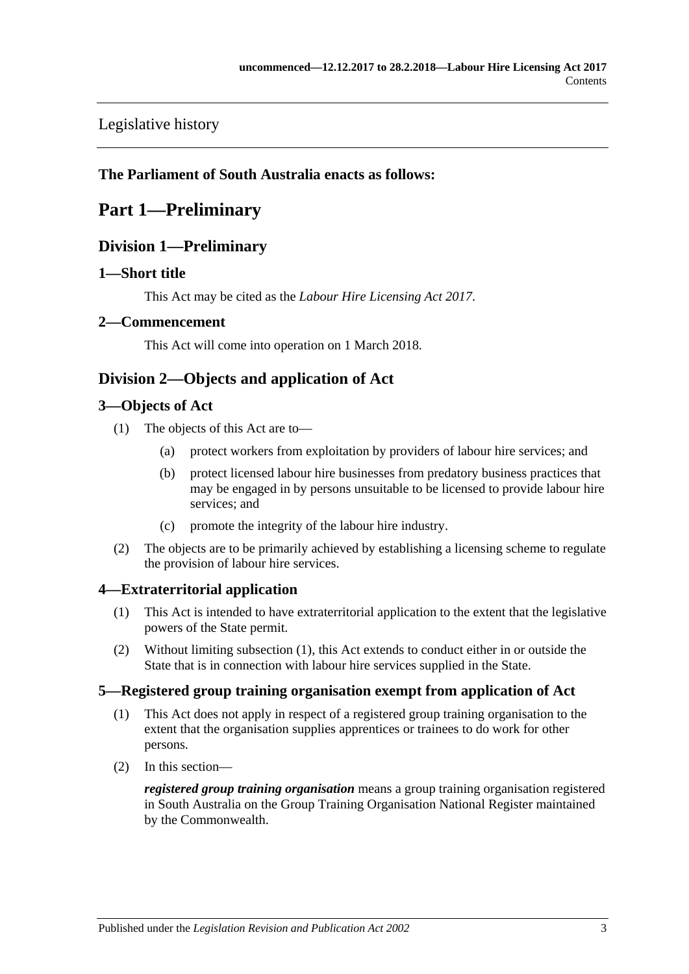[Legislative history](#page-31-0)

### <span id="page-2-0"></span>**The Parliament of South Australia enacts as follows:**

# <span id="page-2-1"></span>**Part 1—Preliminary**

### **Division 1—Preliminary**

### <span id="page-2-2"></span>**1—Short title**

This Act may be cited as the *Labour Hire Licensing Act 2017*.

### <span id="page-2-3"></span>**2—Commencement**

This Act will come into operation on 1 March 2018.

### <span id="page-2-4"></span>**Division 2—Objects and application of Act**

### <span id="page-2-5"></span>**3—Objects of Act**

- (1) The objects of this Act are to—
	- (a) protect workers from exploitation by providers of labour hire services; and
	- (b) protect licensed labour hire businesses from predatory business practices that may be engaged in by persons unsuitable to be licensed to provide labour hire services; and
	- (c) promote the integrity of the labour hire industry.
- (2) The objects are to be primarily achieved by establishing a licensing scheme to regulate the provision of labour hire services.

### <span id="page-2-8"></span><span id="page-2-6"></span>**4—Extraterritorial application**

- (1) This Act is intended to have extraterritorial application to the extent that the legislative powers of the State permit.
- (2) Without limiting [subsection](#page-2-8) (1), this Act extends to conduct either in or outside the State that is in connection with labour hire services supplied in the State.

### <span id="page-2-7"></span>**5—Registered group training organisation exempt from application of Act**

- (1) This Act does not apply in respect of a registered group training organisation to the extent that the organisation supplies apprentices or trainees to do work for other persons.
- (2) In this section—

*registered group training organisation* means a group training organisation registered in South Australia on the Group Training Organisation National Register maintained by the Commonwealth.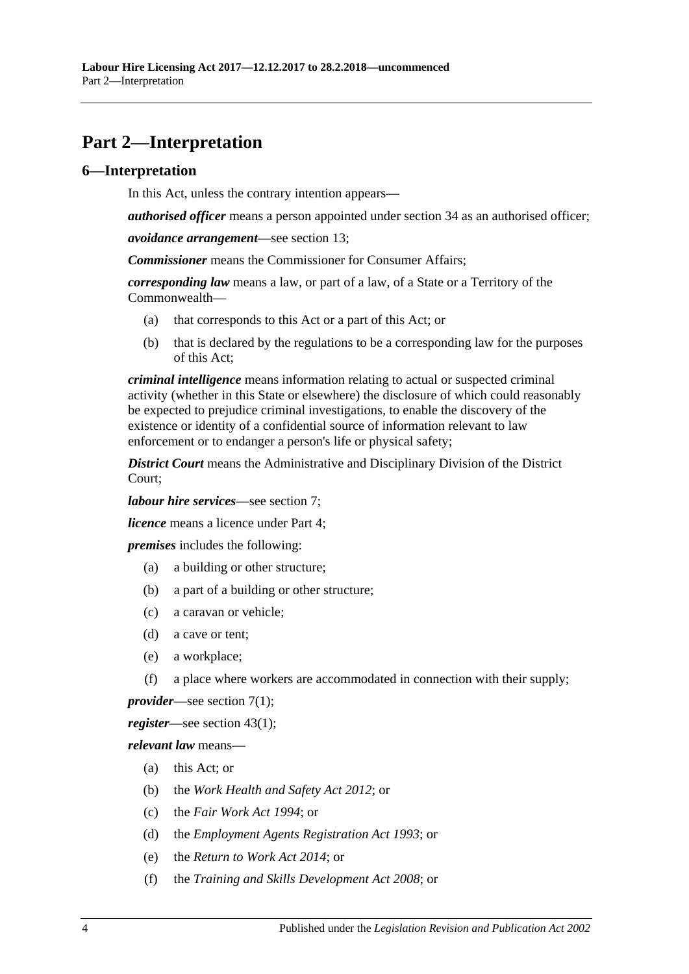# <span id="page-3-0"></span>**Part 2—Interpretation**

### <span id="page-3-1"></span>**6—Interpretation**

In this Act, unless the contrary intention appears—

*authorised officer* means a person appointed under [section](#page-20-1) 34 as an authorised officer;

*avoidance arrangement*—see [section](#page-9-0) 13;

*Commissioner* means the Commissioner for Consumer Affairs;

*corresponding law* means a law, or part of a law, of a State or a Territory of the Commonwealth—

- (a) that corresponds to this Act or a part of this Act; or
- (b) that is declared by the regulations to be a corresponding law for the purposes of this Act;

*criminal intelligence* means information relating to actual or suspected criminal activity (whether in this State or elsewhere) the disclosure of which could reasonably be expected to prejudice criminal investigations, to enable the discovery of the existence or identity of a confidential source of information relevant to law enforcement or to endanger a person's life or physical safety;

*District Court* means the Administrative and Disciplinary Division of the District Court;

*labour hire services*—see [section](#page-4-0) 7;

*licence* means a licence under [Part](#page-9-2) 4;

*premises* includes the following:

- (a) a building or other structure;
- (b) a part of a building or other structure;
- (c) a caravan or vehicle;
- (d) a cave or tent;
- (e) a workplace;
- (f) a place where workers are accommodated in connection with their supply;

*provider*—see [section](#page-4-1) 7(1);

*register*—see [section](#page-25-3) 43(1);

*relevant law* means—

- (a) this Act; or
- (b) the *[Work Health and Safety Act](http://www.legislation.sa.gov.au/index.aspx?action=legref&type=act&legtitle=Work%20Health%20and%20Safety%20Act%202012) 2012*; or
- (c) the *[Fair Work Act](http://www.legislation.sa.gov.au/index.aspx?action=legref&type=act&legtitle=Fair%20Work%20Act%201994) 1994*; or
- (d) the *[Employment Agents Registration Act](http://www.legislation.sa.gov.au/index.aspx?action=legref&type=act&legtitle=Employment%20Agents%20Registration%20Act%201993) 1993*; or
- (e) the *[Return to Work Act](http://www.legislation.sa.gov.au/index.aspx?action=legref&type=act&legtitle=Return%20to%20Work%20Act%202014) 2014*; or
- (f) the *[Training and Skills Development Act](http://www.legislation.sa.gov.au/index.aspx?action=legref&type=act&legtitle=Training%20and%20Skills%20Development%20Act%202008) 2008*; or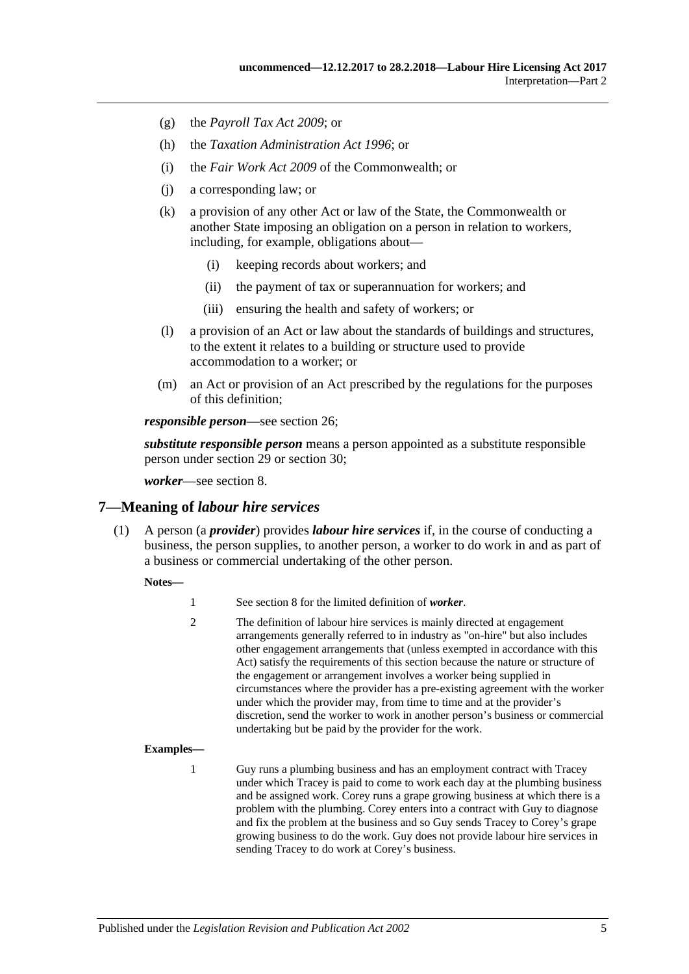- (g) the *[Payroll Tax Act](http://www.legislation.sa.gov.au/index.aspx?action=legref&type=act&legtitle=Payroll%20Tax%20Act%202009) 2009*; or
- (h) the *[Taxation Administration Act](http://www.legislation.sa.gov.au/index.aspx?action=legref&type=act&legtitle=Taxation%20Administration%20Act%201996) 1996*; or
- (i) the *Fair Work Act 2009* of the Commonwealth; or
- (j) a corresponding law; or
- (k) a provision of any other Act or law of the State, the Commonwealth or another State imposing an obligation on a person in relation to workers, including, for example, obligations about—
	- (i) keeping records about workers; and
	- (ii) the payment of tax or superannuation for workers; and
	- (iii) ensuring the health and safety of workers; or
- (l) a provision of an Act or law about the standards of buildings and structures, to the extent it relates to a building or structure used to provide accommodation to a worker; or
- (m) an Act or provision of an Act prescribed by the regulations for the purposes of this definition;

*responsible person*—see [section](#page-16-3) 26;

*substitute responsible person* means a person appointed as a substitute responsible person under [section](#page-17-0) 29 or [section](#page-18-0) 30;

*worker*—see [section](#page-5-0) 8.

#### <span id="page-4-1"></span><span id="page-4-0"></span>**7—Meaning of** *labour hire services*

(1) A person (a *provider*) provides *labour hire services* if, in the course of conducting a business, the person supplies, to another person, a worker to do work in and as part of a business or commercial undertaking of the other person.

#### **Notes—**

| See section 8 for the limited definition of <i>worker</i> . |  |
|-------------------------------------------------------------|--|
|-------------------------------------------------------------|--|

2 The definition of labour hire services is mainly directed at engagement arrangements generally referred to in industry as "on-hire" but also includes other engagement arrangements that (unless exempted in accordance with this Act) satisfy the requirements of this section because the nature or structure of the engagement or arrangement involves a worker being supplied in circumstances where the provider has a pre-existing agreement with the worker under which the provider may, from time to time and at the provider's discretion, send the worker to work in another person's business or commercial undertaking but be paid by the provider for the work.

#### **Examples—**

1 Guy runs a plumbing business and has an employment contract with Tracey under which Tracey is paid to come to work each day at the plumbing business and be assigned work. Corey runs a grape growing business at which there is a problem with the plumbing. Corey enters into a contract with Guy to diagnose and fix the problem at the business and so Guy sends Tracey to Corey's grape growing business to do the work. Guy does not provide labour hire services in sending Tracey to do work at Corey's business.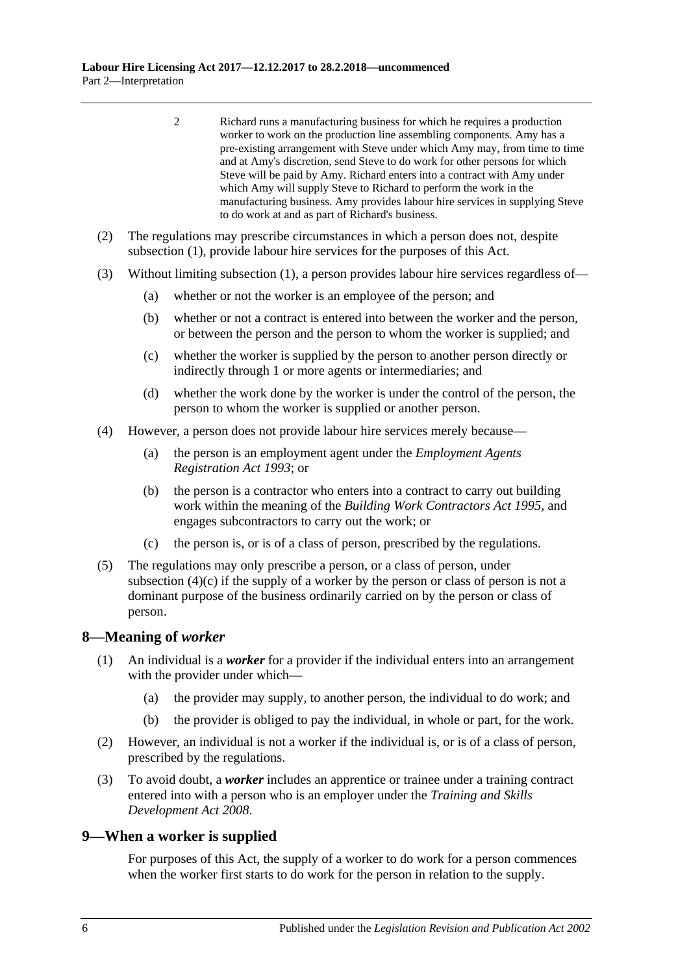- 2 Richard runs a manufacturing business for which he requires a production worker to work on the production line assembling components. Amy has a pre-existing arrangement with Steve under which Amy may, from time to time and at Amy's discretion, send Steve to do work for other persons for which Steve will be paid by Amy. Richard enters into a contract with Amy under which Amy will supply Steve to Richard to perform the work in the manufacturing business. Amy provides labour hire services in supplying Steve to do work at and as part of Richard's business.
- (2) The regulations may prescribe circumstances in which a person does not, despite [subsection](#page-4-1) (1), provide labour hire services for the purposes of this Act.
- (3) Without limiting [subsection](#page-4-1) (1), a person provides labour hire services regardless of—
	- (a) whether or not the worker is an employee of the person; and
	- (b) whether or not a contract is entered into between the worker and the person, or between the person and the person to whom the worker is supplied; and
	- (c) whether the worker is supplied by the person to another person directly or indirectly through 1 or more agents or intermediaries; and
	- (d) whether the work done by the worker is under the control of the person, the person to whom the worker is supplied or another person.
- (4) However, a person does not provide labour hire services merely because—
	- (a) the person is an employment agent under the *[Employment Agents](http://www.legislation.sa.gov.au/index.aspx?action=legref&type=act&legtitle=Employment%20Agents%20Registration%20Act%201993)  [Registration Act](http://www.legislation.sa.gov.au/index.aspx?action=legref&type=act&legtitle=Employment%20Agents%20Registration%20Act%201993) 1993*; or
	- (b) the person is a contractor who enters into a contract to carry out building work within the meaning of the *[Building Work Contractors Act](http://www.legislation.sa.gov.au/index.aspx?action=legref&type=act&legtitle=Building%20Work%20Contractors%20Act%201995) 1995*, and engages subcontractors to carry out the work; or
	- (c) the person is, or is of a class of person, prescribed by the regulations.
- <span id="page-5-2"></span>(5) The regulations may only prescribe a person, or a class of person, under [subsection](#page-5-2)  $(4)(c)$  if the supply of a worker by the person or class of person is not a dominant purpose of the business ordinarily carried on by the person or class of person.

#### <span id="page-5-0"></span>**8—Meaning of** *worker*

- (1) An individual is a *worker* for a provider if the individual enters into an arrangement with the provider under which—
	- (a) the provider may supply, to another person, the individual to do work; and
	- (b) the provider is obliged to pay the individual, in whole or part, for the work.
- (2) However, an individual is not a worker if the individual is, or is of a class of person, prescribed by the regulations.
- (3) To avoid doubt, a *worker* includes an apprentice or trainee under a training contract entered into with a person who is an employer under the *[Training and Skills](http://www.legislation.sa.gov.au/index.aspx?action=legref&type=act&legtitle=Training%20and%20Skills%20Development%20Act%202008)  [Development Act](http://www.legislation.sa.gov.au/index.aspx?action=legref&type=act&legtitle=Training%20and%20Skills%20Development%20Act%202008) 2008*.

### <span id="page-5-1"></span>**9—When a worker is supplied**

For purposes of this Act, the supply of a worker to do work for a person commences when the worker first starts to do work for the person in relation to the supply.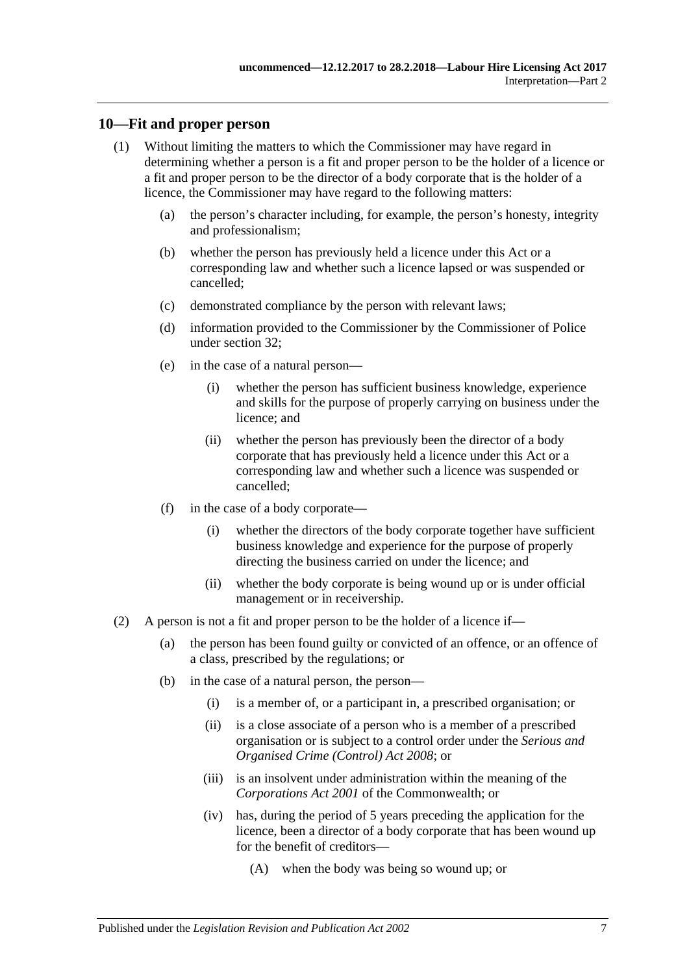### <span id="page-6-0"></span>**10—Fit and proper person**

- (1) Without limiting the matters to which the Commissioner may have regard in determining whether a person is a fit and proper person to be the holder of a licence or a fit and proper person to be the director of a body corporate that is the holder of a licence, the Commissioner may have regard to the following matters:
	- (a) the person's character including, for example, the person's honesty, integrity and professionalism;
	- (b) whether the person has previously held a licence under this Act or a corresponding law and whether such a licence lapsed or was suspended or cancelled;
	- (c) demonstrated compliance by the person with relevant laws;
	- (d) information provided to the Commissioner by the Commissioner of Police under [section](#page-19-2) 32;
	- (e) in the case of a natural person—
		- (i) whether the person has sufficient business knowledge, experience and skills for the purpose of properly carrying on business under the licence; and
		- (ii) whether the person has previously been the director of a body corporate that has previously held a licence under this Act or a corresponding law and whether such a licence was suspended or cancelled;
	- (f) in the case of a body corporate—
		- (i) whether the directors of the body corporate together have sufficient business knowledge and experience for the purpose of properly directing the business carried on under the licence; and
		- (ii) whether the body corporate is being wound up or is under official management or in receivership.
- (2) A person is not a fit and proper person to be the holder of a licence if—
	- (a) the person has been found guilty or convicted of an offence, or an offence of a class, prescribed by the regulations; or
	- (b) in the case of a natural person, the person—
		- (i) is a member of, or a participant in, a prescribed organisation; or
		- (ii) is a close associate of a person who is a member of a prescribed organisation or is subject to a control order under the *[Serious and](http://www.legislation.sa.gov.au/index.aspx?action=legref&type=act&legtitle=Serious%20and%20Organised%20Crime%20(Control)%20Act%202008)  [Organised Crime \(Control\) Act](http://www.legislation.sa.gov.au/index.aspx?action=legref&type=act&legtitle=Serious%20and%20Organised%20Crime%20(Control)%20Act%202008) 2008*; or
		- (iii) is an insolvent under administration within the meaning of the *Corporations Act 2001* of the Commonwealth; or
		- (iv) has, during the period of 5 years preceding the application for the licence, been a director of a body corporate that has been wound up for the benefit of creditors—
			- (A) when the body was being so wound up; or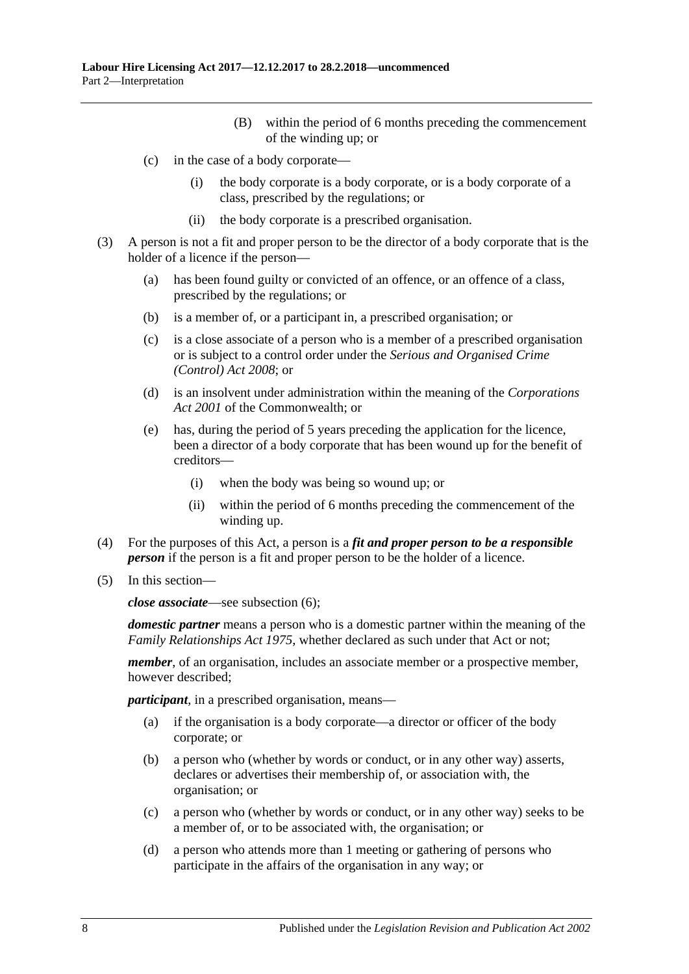- (B) within the period of 6 months preceding the commencement of the winding up; or
- (c) in the case of a body corporate—
	- (i) the body corporate is a body corporate, or is a body corporate of a class, prescribed by the regulations; or
	- (ii) the body corporate is a prescribed organisation.
- (3) A person is not a fit and proper person to be the director of a body corporate that is the holder of a licence if the person—
	- (a) has been found guilty or convicted of an offence, or an offence of a class, prescribed by the regulations; or
	- (b) is a member of, or a participant in, a prescribed organisation; or
	- (c) is a close associate of a person who is a member of a prescribed organisation or is subject to a control order under the *[Serious and Organised Crime](http://www.legislation.sa.gov.au/index.aspx?action=legref&type=act&legtitle=Serious%20and%20Organised%20Crime%20(Control)%20Act%202008)  [\(Control\) Act](http://www.legislation.sa.gov.au/index.aspx?action=legref&type=act&legtitle=Serious%20and%20Organised%20Crime%20(Control)%20Act%202008) 2008*; or
	- (d) is an insolvent under administration within the meaning of the *Corporations Act 2001* of the Commonwealth; or
	- (e) has, during the period of 5 years preceding the application for the licence, been a director of a body corporate that has been wound up for the benefit of creditors—
		- (i) when the body was being so wound up; or
		- (ii) within the period of 6 months preceding the commencement of the winding up.
- (4) For the purposes of this Act, a person is a *fit and proper person to be a responsible person* if the person is a fit and proper person to be the holder of a licence.
- (5) In this section—

*close associate*—see [subsection](#page-8-3) (6);

*domestic partner* means a person who is a domestic partner within the meaning of the *[Family Relationships Act](http://www.legislation.sa.gov.au/index.aspx?action=legref&type=act&legtitle=Family%20Relationships%20Act%201975) 1975*, whether declared as such under that Act or not;

*member*, of an organisation, includes an associate member or a prospective member, however described;

*participant*, in a prescribed organisation, means—

- (a) if the organisation is a body corporate—a director or officer of the body corporate; or
- (b) a person who (whether by words or conduct, or in any other way) asserts, declares or advertises their membership of, or association with, the organisation; or
- (c) a person who (whether by words or conduct, or in any other way) seeks to be a member of, or to be associated with, the organisation; or
- (d) a person who attends more than 1 meeting or gathering of persons who participate in the affairs of the organisation in any way; or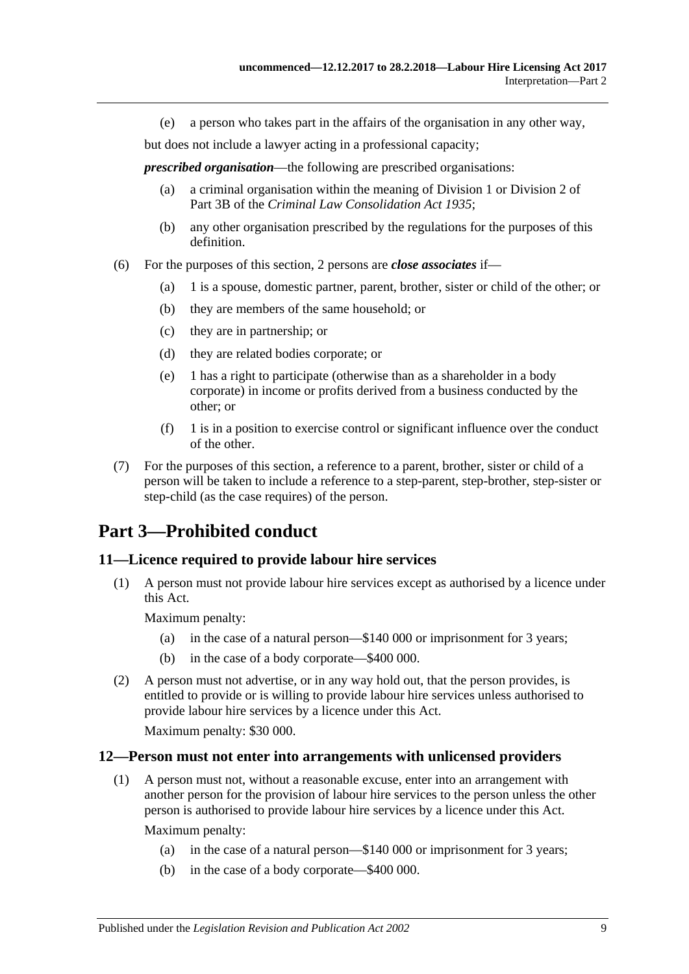(e) a person who takes part in the affairs of the organisation in any other way,

but does not include a lawyer acting in a professional capacity;

*prescribed organisation*—the following are prescribed organisations:

- (a) a criminal organisation within the meaning of Division 1 or Division 2 of Part 3B of the *[Criminal Law Consolidation Act](http://www.legislation.sa.gov.au/index.aspx?action=legref&type=act&legtitle=Criminal%20Law%20Consolidation%20Act%201935) 1935*;
- (b) any other organisation prescribed by the regulations for the purposes of this definition.
- <span id="page-8-3"></span>(6) For the purposes of this section, 2 persons are *close associates* if—
	- (a) 1 is a spouse, domestic partner, parent, brother, sister or child of the other; or
	- (b) they are members of the same household; or
	- (c) they are in partnership; or
	- (d) they are related bodies corporate; or
	- (e) 1 has a right to participate (otherwise than as a shareholder in a body corporate) in income or profits derived from a business conducted by the other; or
	- $(f)$  1 is in a position to exercise control or significant influence over the conduct of the other.
- (7) For the purposes of this section, a reference to a parent, brother, sister or child of a person will be taken to include a reference to a step-parent, step-brother, step-sister or step-child (as the case requires) of the person.

# <span id="page-8-0"></span>**Part 3—Prohibited conduct**

### <span id="page-8-1"></span>**11—Licence required to provide labour hire services**

(1) A person must not provide labour hire services except as authorised by a licence under this Act.

Maximum penalty:

- (a) in the case of a natural person—\$140 000 or imprisonment for 3 years;
- (b) in the case of a body corporate—\$400 000.
- (2) A person must not advertise, or in any way hold out, that the person provides, is entitled to provide or is willing to provide labour hire services unless authorised to provide labour hire services by a licence under this Act.

Maximum penalty: \$30 000.

#### <span id="page-8-2"></span>**12—Person must not enter into arrangements with unlicensed providers**

(1) A person must not, without a reasonable excuse, enter into an arrangement with another person for the provision of labour hire services to the person unless the other person is authorised to provide labour hire services by a licence under this Act.

Maximum penalty:

- (a) in the case of a natural person—\$140 000 or imprisonment for 3 years;
- (b) in the case of a body corporate—\$400 000.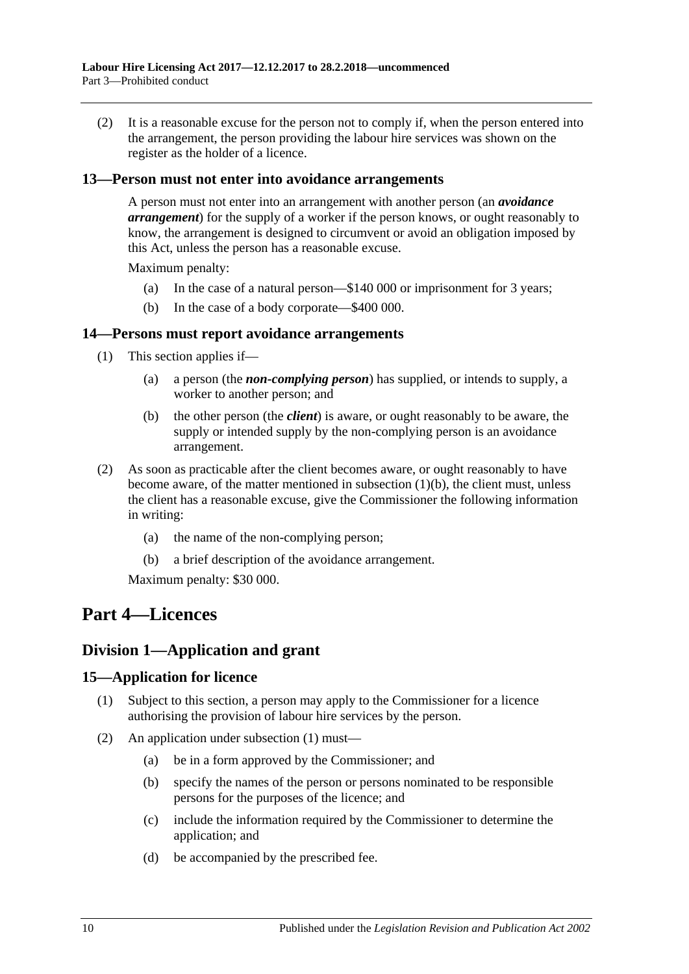(2) It is a reasonable excuse for the person not to comply if, when the person entered into the arrangement, the person providing the labour hire services was shown on the register as the holder of a licence.

### <span id="page-9-0"></span>**13—Person must not enter into avoidance arrangements**

A person must not enter into an arrangement with another person (an *avoidance arrangement*) for the supply of a worker if the person knows, or ought reasonably to know, the arrangement is designed to circumvent or avoid an obligation imposed by this Act, unless the person has a reasonable excuse.

Maximum penalty:

- (a) In the case of a natural person—\$140 000 or imprisonment for 3 years;
- (b) In the case of a body corporate—\$400 000.

#### <span id="page-9-1"></span>**14—Persons must report avoidance arrangements**

- <span id="page-9-5"></span>(1) This section applies if—
	- (a) a person (the *non-complying person*) has supplied, or intends to supply, a worker to another person; and
	- (b) the other person (the *client*) is aware, or ought reasonably to be aware, the supply or intended supply by the non-complying person is an avoidance arrangement.
- (2) As soon as practicable after the client becomes aware, or ought reasonably to have become aware, of the matter mentioned in [subsection](#page-9-5)  $(1)(b)$ , the client must, unless the client has a reasonable excuse, give the Commissioner the following information in writing:
	- (a) the name of the non-complying person;
	- (b) a brief description of the avoidance arrangement.

Maximum penalty: \$30 000.

# <span id="page-9-2"></span>**Part 4—Licences**

### <span id="page-9-3"></span>**Division 1—Application and grant**

#### <span id="page-9-6"></span><span id="page-9-4"></span>**15—Application for licence**

- (1) Subject to this section, a person may apply to the Commissioner for a licence authorising the provision of labour hire services by the person.
- (2) An application under [subsection](#page-9-6) (1) must—
	- (a) be in a form approved by the Commissioner; and
	- (b) specify the names of the person or persons nominated to be responsible persons for the purposes of the licence; and
	- (c) include the information required by the Commissioner to determine the application; and
	- (d) be accompanied by the prescribed fee.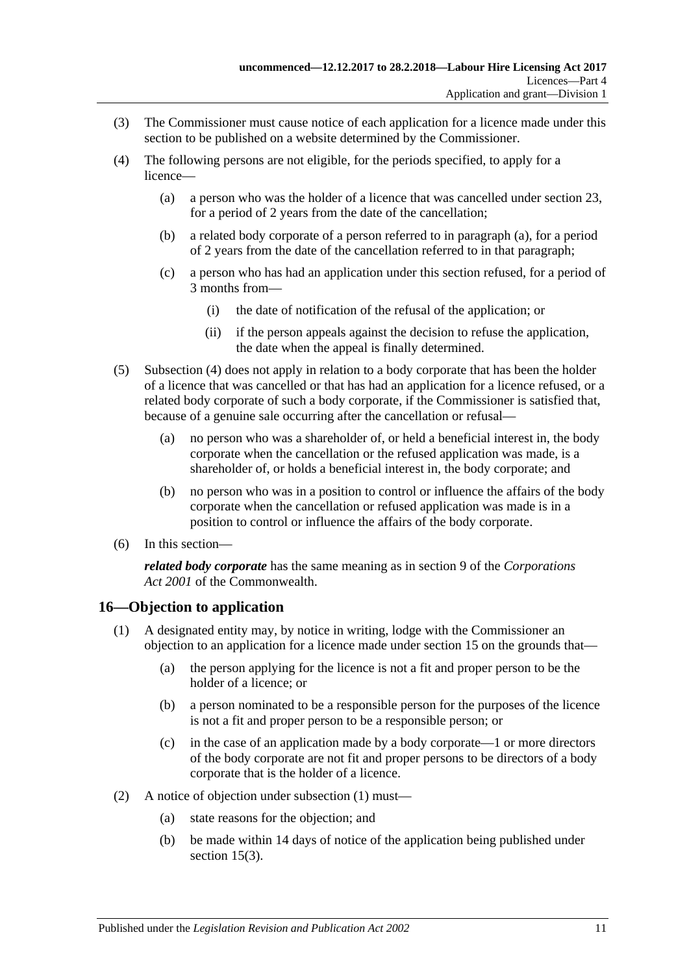- <span id="page-10-4"></span>(3) The Commissioner must cause notice of each application for a licence made under this section to be published on a website determined by the Commissioner.
- <span id="page-10-2"></span><span id="page-10-1"></span>(4) The following persons are not eligible, for the periods specified, to apply for a licence—
	- (a) a person who was the holder of a licence that was cancelled under [section](#page-15-1) 23, for a period of 2 years from the date of the cancellation;
	- (b) a related body corporate of a person referred to in [paragraph](#page-10-1) (a), for a period of 2 years from the date of the cancellation referred to in that paragraph;
	- (c) a person who has had an application under this section refused, for a period of 3 months from—
		- (i) the date of notification of the refusal of the application; or
		- (ii) if the person appeals against the decision to refuse the application, the date when the appeal is finally determined.
- (5) [Subsection](#page-10-2) (4) does not apply in relation to a body corporate that has been the holder of a licence that was cancelled or that has had an application for a licence refused, or a related body corporate of such a body corporate, if the Commissioner is satisfied that, because of a genuine sale occurring after the cancellation or refusal—
	- (a) no person who was a shareholder of, or held a beneficial interest in, the body corporate when the cancellation or the refused application was made, is a shareholder of, or holds a beneficial interest in, the body corporate; and
	- (b) no person who was in a position to control or influence the affairs of the body corporate when the cancellation or refused application was made is in a position to control or influence the affairs of the body corporate.
- (6) In this section—

*related body corporate* has the same meaning as in section 9 of the *Corporations Act 2001* of the Commonwealth.

### <span id="page-10-3"></span><span id="page-10-0"></span>**16—Objection to application**

- (1) A designated entity may, by notice in writing, lodge with the Commissioner an objection to an application for a licence made under [section](#page-9-4) 15 on the grounds that—
	- (a) the person applying for the licence is not a fit and proper person to be the holder of a licence; or
	- (b) a person nominated to be a responsible person for the purposes of the licence is not a fit and proper person to be a responsible person; or
	- (c) in the case of an application made by a body corporate—1 or more directors of the body corporate are not fit and proper persons to be directors of a body corporate that is the holder of a licence.
- (2) A notice of objection under [subsection](#page-10-3) (1) must—
	- (a) state reasons for the objection; and
	- (b) be made within 14 days of notice of the application being published under [section](#page-10-4) 15(3).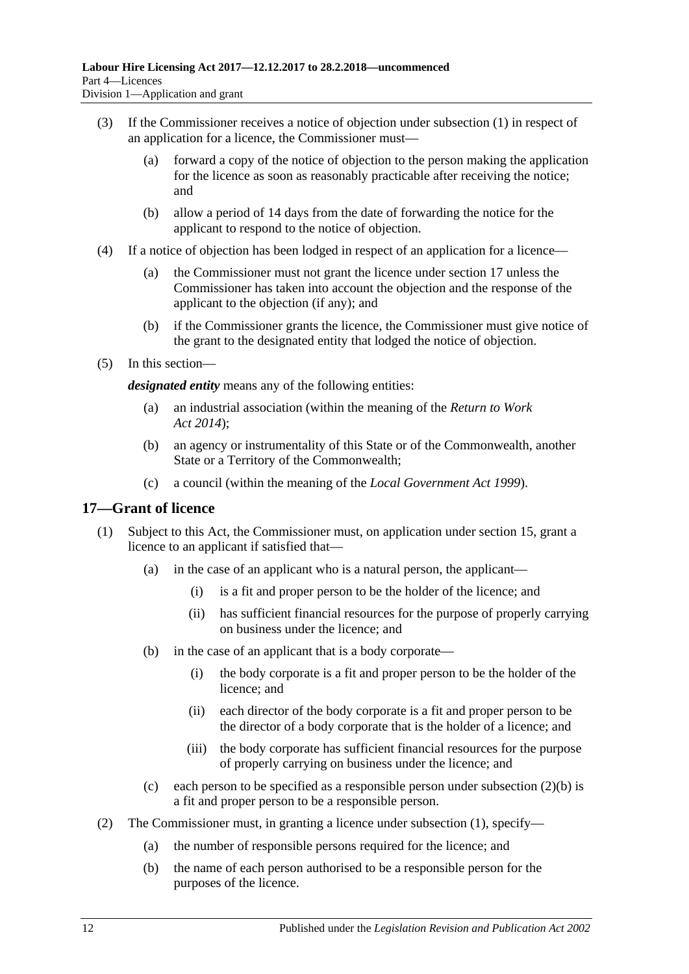- (3) If the Commissioner receives a notice of objection under [subsection](#page-10-3) (1) in respect of an application for a licence, the Commissioner must—
	- (a) forward a copy of the notice of objection to the person making the application for the licence as soon as reasonably practicable after receiving the notice; and
	- (b) allow a period of 14 days from the date of forwarding the notice for the applicant to respond to the notice of objection.
- (4) If a notice of objection has been lodged in respect of an application for a licence—
	- (a) the Commissioner must not grant the licence under [section](#page-11-0) 17 unless the Commissioner has taken into account the objection and the response of the applicant to the objection (if any); and
	- (b) if the Commissioner grants the licence, the Commissioner must give notice of the grant to the designated entity that lodged the notice of objection.
- <span id="page-11-3"></span>(5) In this section—

*designated entity* means any of the following entities:

- (a) an industrial association (within the meaning of the *[Return to Work](http://www.legislation.sa.gov.au/index.aspx?action=legref&type=act&legtitle=Return%20to%20Work%20Act%202014)  Act [2014](http://www.legislation.sa.gov.au/index.aspx?action=legref&type=act&legtitle=Return%20to%20Work%20Act%202014)*);
- (b) an agency or instrumentality of this State or of the Commonwealth, another State or a Territory of the Commonwealth;
- (c) a council (within the meaning of the *[Local Government Act](http://www.legislation.sa.gov.au/index.aspx?action=legref&type=act&legtitle=Local%20Government%20Act%201999) 1999*).

#### <span id="page-11-2"></span><span id="page-11-0"></span>**17—Grant of licence**

- (1) Subject to this Act, the Commissioner must, on application under [section](#page-9-4) 15, grant a licence to an applicant if satisfied that—
	- (a) in the case of an applicant who is a natural person, the applicant—
		- (i) is a fit and proper person to be the holder of the licence; and
		- (ii) has sufficient financial resources for the purpose of properly carrying on business under the licence; and
	- (b) in the case of an applicant that is a body corporate—
		- (i) the body corporate is a fit and proper person to be the holder of the licence; and
		- (ii) each director of the body corporate is a fit and proper person to be the director of a body corporate that is the holder of a licence; and
		- (iii) the body corporate has sufficient financial resources for the purpose of properly carrying on business under the licence; and
	- (c) each person to be specified as a responsible person under [subsection](#page-11-1)  $(2)(b)$  is a fit and proper person to be a responsible person.
- <span id="page-11-1"></span>(2) The Commissioner must, in granting a licence under [subsection](#page-11-2) (1), specify—
	- (a) the number of responsible persons required for the licence; and
	- (b) the name of each person authorised to be a responsible person for the purposes of the licence.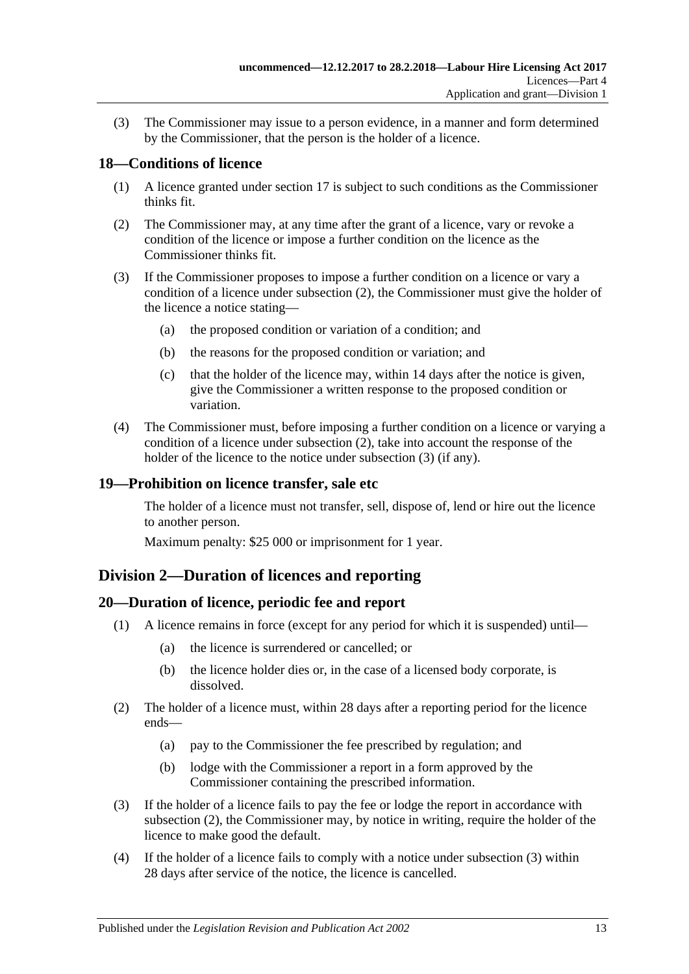(3) The Commissioner may issue to a person evidence, in a manner and form determined by the Commissioner, that the person is the holder of a licence.

### <span id="page-12-0"></span>**18—Conditions of licence**

- (1) A licence granted under [section](#page-11-0) 17 is subject to such conditions as the Commissioner thinks fit.
- <span id="page-12-4"></span>(2) The Commissioner may, at any time after the grant of a licence, vary or revoke a condition of the licence or impose a further condition on the licence as the Commissioner thinks fit.
- <span id="page-12-5"></span>(3) If the Commissioner proposes to impose a further condition on a licence or vary a condition of a licence under [subsection](#page-12-4) (2), the Commissioner must give the holder of the licence a notice stating—
	- (a) the proposed condition or variation of a condition; and
	- (b) the reasons for the proposed condition or variation; and
	- (c) that the holder of the licence may, within 14 days after the notice is given, give the Commissioner a written response to the proposed condition or variation.
- (4) The Commissioner must, before imposing a further condition on a licence or varying a condition of a licence under [subsection](#page-12-4) (2), take into account the response of the holder of the licence to the notice under [subsection](#page-12-5) (3) (if any).

### <span id="page-12-1"></span>**19—Prohibition on licence transfer, sale etc**

The holder of a licence must not transfer, sell, dispose of, lend or hire out the licence to another person.

Maximum penalty: \$25 000 or imprisonment for 1 year.

### <span id="page-12-2"></span>**Division 2—Duration of licences and reporting**

### <span id="page-12-3"></span>**20—Duration of licence, periodic fee and report**

- (1) A licence remains in force (except for any period for which it is suspended) until—
	- (a) the licence is surrendered or cancelled; or
	- (b) the licence holder dies or, in the case of a licensed body corporate, is dissolved.
- <span id="page-12-6"></span>(2) The holder of a licence must, within 28 days after a reporting period for the licence ends—
	- (a) pay to the Commissioner the fee prescribed by regulation; and
	- (b) lodge with the Commissioner a report in a form approved by the Commissioner containing the prescribed information.
- <span id="page-12-7"></span>(3) If the holder of a licence fails to pay the fee or lodge the report in accordance with [subsection](#page-12-6) (2), the Commissioner may, by notice in writing, require the holder of the licence to make good the default.
- <span id="page-12-8"></span>(4) If the holder of a licence fails to comply with a notice under [subsection](#page-12-7) (3) within 28 days after service of the notice, the licence is cancelled.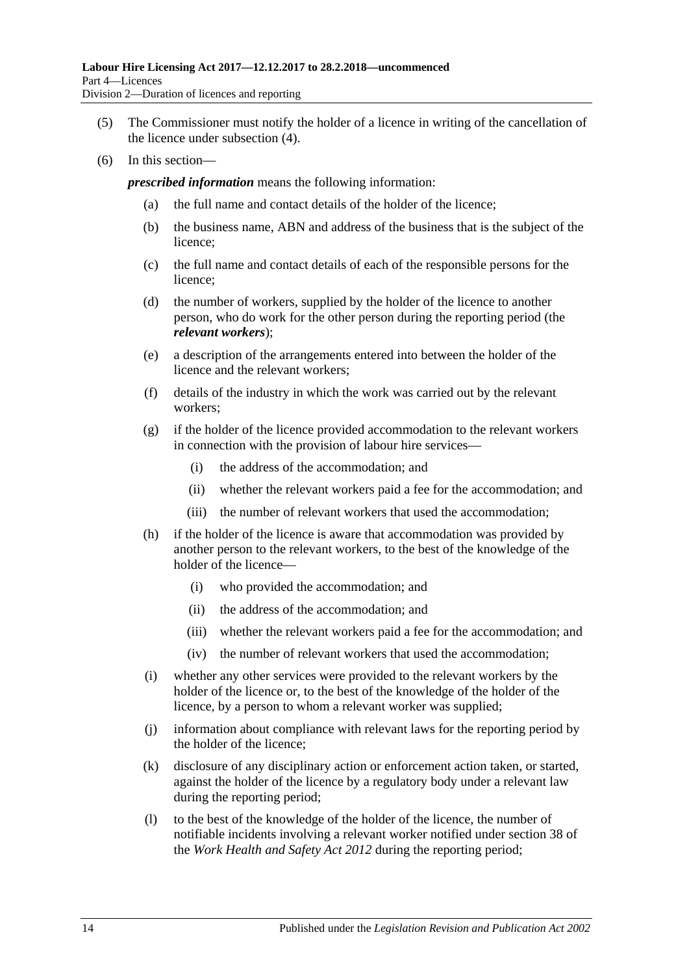- (5) The Commissioner must notify the holder of a licence in writing of the cancellation of the licence under [subsection](#page-12-8) (4).
- (6) In this section—

*prescribed information* means the following information:

- (a) the full name and contact details of the holder of the licence;
- (b) the business name, ABN and address of the business that is the subject of the licence;
- (c) the full name and contact details of each of the responsible persons for the licence;
- (d) the number of workers, supplied by the holder of the licence to another person, who do work for the other person during the reporting period (the *relevant workers*);
- (e) a description of the arrangements entered into between the holder of the licence and the relevant workers;
- (f) details of the industry in which the work was carried out by the relevant workers;
- (g) if the holder of the licence provided accommodation to the relevant workers in connection with the provision of labour hire services—
	- (i) the address of the accommodation; and
	- (ii) whether the relevant workers paid a fee for the accommodation; and
	- (iii) the number of relevant workers that used the accommodation;
- (h) if the holder of the licence is aware that accommodation was provided by another person to the relevant workers, to the best of the knowledge of the holder of the licence—
	- (i) who provided the accommodation; and
	- (ii) the address of the accommodation; and
	- (iii) whether the relevant workers paid a fee for the accommodation; and
	- (iv) the number of relevant workers that used the accommodation;
- (i) whether any other services were provided to the relevant workers by the holder of the licence or, to the best of the knowledge of the holder of the licence, by a person to whom a relevant worker was supplied;
- (j) information about compliance with relevant laws for the reporting period by the holder of the licence;
- (k) disclosure of any disciplinary action or enforcement action taken, or started, against the holder of the licence by a regulatory body under a relevant law during the reporting period;
- (l) to the best of the knowledge of the holder of the licence, the number of notifiable incidents involving a relevant worker notified under section 38 of the *[Work Health and Safety Act](http://www.legislation.sa.gov.au/index.aspx?action=legref&type=act&legtitle=Work%20Health%20and%20Safety%20Act%202012) 2012* during the reporting period;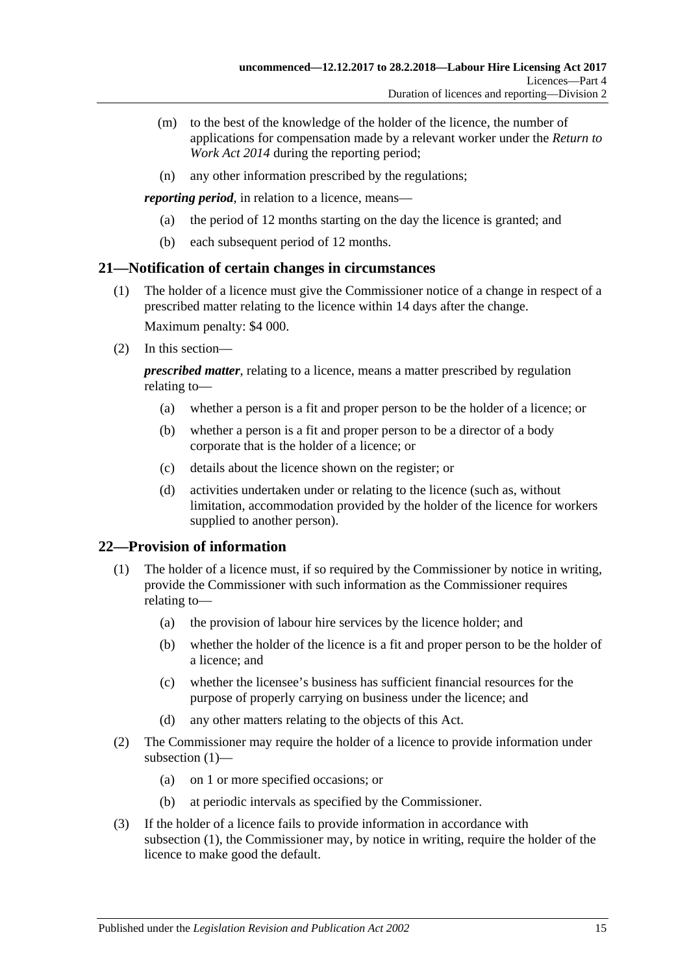- (m) to the best of the knowledge of the holder of the licence, the number of applications for compensation made by a relevant worker under the *[Return to](http://www.legislation.sa.gov.au/index.aspx?action=legref&type=act&legtitle=Return%20to%20Work%20Act%202014)  [Work Act](http://www.legislation.sa.gov.au/index.aspx?action=legref&type=act&legtitle=Return%20to%20Work%20Act%202014) 2014* during the reporting period;
- (n) any other information prescribed by the regulations;

*reporting period*, in relation to a licence, means—

- (a) the period of 12 months starting on the day the licence is granted; and
- (b) each subsequent period of 12 months.

### <span id="page-14-0"></span>**21—Notification of certain changes in circumstances**

- (1) The holder of a licence must give the Commissioner notice of a change in respect of a prescribed matter relating to the licence within 14 days after the change. Maximum penalty: \$4 000.
- (2) In this section—

*prescribed matter*, relating to a licence, means a matter prescribed by regulation relating to—

- (a) whether a person is a fit and proper person to be the holder of a licence; or
- (b) whether a person is a fit and proper person to be a director of a body corporate that is the holder of a licence; or
- (c) details about the licence shown on the register; or
- (d) activities undertaken under or relating to the licence (such as, without limitation, accommodation provided by the holder of the licence for workers supplied to another person).

### <span id="page-14-2"></span><span id="page-14-1"></span>**22—Provision of information**

- (1) The holder of a licence must, if so required by the Commissioner by notice in writing, provide the Commissioner with such information as the Commissioner requires relating to—
	- (a) the provision of labour hire services by the licence holder; and
	- (b) whether the holder of the licence is a fit and proper person to be the holder of a licence; and
	- (c) whether the licensee's business has sufficient financial resources for the purpose of properly carrying on business under the licence; and
	- (d) any other matters relating to the objects of this Act.
- (2) The Commissioner may require the holder of a licence to provide information under [subsection](#page-14-2) (1)—
	- (a) on 1 or more specified occasions; or
	- (b) at periodic intervals as specified by the Commissioner.
- <span id="page-14-3"></span>(3) If the holder of a licence fails to provide information in accordance with [subsection](#page-14-2) (1), the Commissioner may, by notice in writing, require the holder of the licence to make good the default.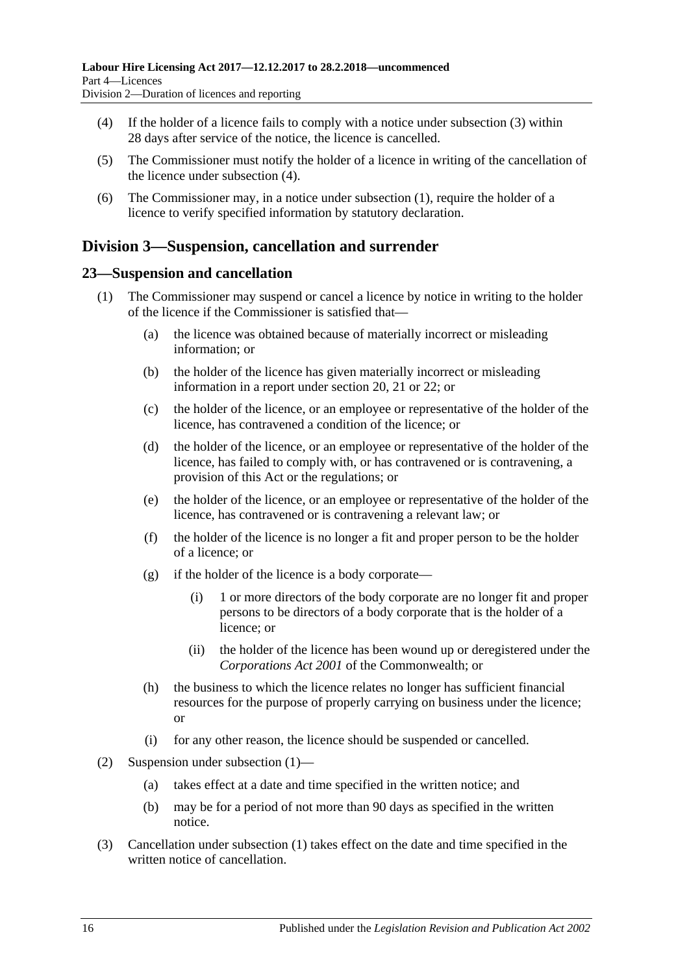- (4) If the holder of a licence fails to comply with a notice under [subsection](#page-14-3) (3) within 28 days after service of the notice, the licence is cancelled.
- (5) The Commissioner must notify the holder of a licence in writing of the cancellation of the licence under [subsection](#page-12-8) (4).
- (6) The Commissioner may, in a notice under [subsection](#page-14-2) (1), require the holder of a licence to verify specified information by statutory declaration.

### <span id="page-15-0"></span>**Division 3—Suspension, cancellation and surrender**

### <span id="page-15-2"></span><span id="page-15-1"></span>**23—Suspension and cancellation**

- (1) The Commissioner may suspend or cancel a licence by notice in writing to the holder of the licence if the Commissioner is satisfied that—
	- (a) the licence was obtained because of materially incorrect or misleading information; or
	- (b) the holder of the licence has given materially incorrect or misleading information in a report under [section](#page-12-3) 20, [21](#page-14-0) or [22;](#page-14-1) or
	- (c) the holder of the licence, or an employee or representative of the holder of the licence, has contravened a condition of the licence; or
	- (d) the holder of the licence, or an employee or representative of the holder of the licence, has failed to comply with, or has contravened or is contravening, a provision of this Act or the regulations; or
	- (e) the holder of the licence, or an employee or representative of the holder of the licence, has contravened or is contravening a relevant law; or
	- (f) the holder of the licence is no longer a fit and proper person to be the holder of a licence; or
	- (g) if the holder of the licence is a body corporate—
		- (i) 1 or more directors of the body corporate are no longer fit and proper persons to be directors of a body corporate that is the holder of a licence; or
		- (ii) the holder of the licence has been wound up or deregistered under the *Corporations Act 2001* of the Commonwealth; or
	- (h) the business to which the licence relates no longer has sufficient financial resources for the purpose of properly carrying on business under the licence; or
	- (i) for any other reason, the licence should be suspended or cancelled.
- (2) Suspension under [subsection](#page-15-2) (1)—
	- (a) takes effect at a date and time specified in the written notice; and
	- (b) may be for a period of not more than 90 days as specified in the written notice.
- (3) Cancellation under [subsection](#page-15-2) (1) takes effect on the date and time specified in the written notice of cancellation.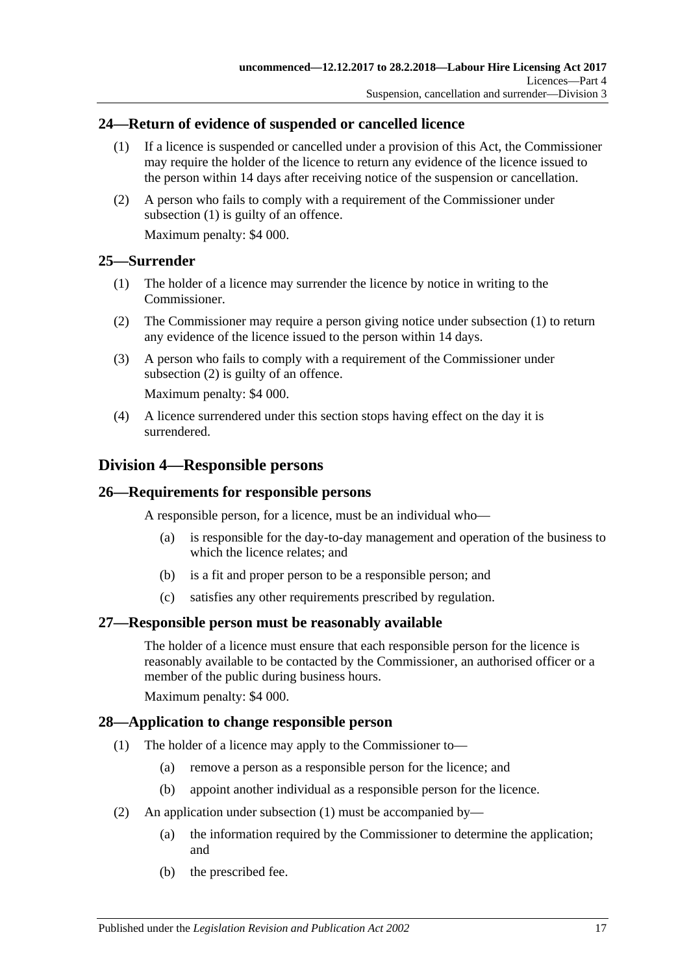### <span id="page-16-6"></span><span id="page-16-0"></span>**24—Return of evidence of suspended or cancelled licence**

- (1) If a licence is suspended or cancelled under a provision of this Act, the Commissioner may require the holder of the licence to return any evidence of the licence issued to the person within 14 days after receiving notice of the suspension or cancellation.
- (2) A person who fails to comply with a requirement of the Commissioner under [subsection](#page-16-6) (1) is guilty of an offence.

Maximum penalty: \$4 000.

### <span id="page-16-7"></span><span id="page-16-1"></span>**25—Surrender**

- (1) The holder of a licence may surrender the licence by notice in writing to the Commissioner.
- <span id="page-16-8"></span>(2) The Commissioner may require a person giving notice under [subsection](#page-16-7) (1) to return any evidence of the licence issued to the person within 14 days.
- (3) A person who fails to comply with a requirement of the Commissioner under [subsection](#page-16-8) (2) is guilty of an offence.

Maximum penalty: \$4 000.

(4) A licence surrendered under this section stops having effect on the day it is surrendered.

### <span id="page-16-2"></span>**Division 4—Responsible persons**

### <span id="page-16-3"></span>**26—Requirements for responsible persons**

A responsible person, for a licence, must be an individual who—

- (a) is responsible for the day-to-day management and operation of the business to which the licence relates; and
- (b) is a fit and proper person to be a responsible person; and
- (c) satisfies any other requirements prescribed by regulation.

### <span id="page-16-4"></span>**27—Responsible person must be reasonably available**

The holder of a licence must ensure that each responsible person for the licence is reasonably available to be contacted by the Commissioner, an authorised officer or a member of the public during business hours.

Maximum penalty: \$4 000.

### <span id="page-16-9"></span><span id="page-16-5"></span>**28—Application to change responsible person**

- (1) The holder of a licence may apply to the Commissioner to—
	- (a) remove a person as a responsible person for the licence; and
	- (b) appoint another individual as a responsible person for the licence.
- <span id="page-16-10"></span>(2) An application under [subsection](#page-16-9) (1) must be accompanied by—
	- (a) the information required by the Commissioner to determine the application; and
	- (b) the prescribed fee.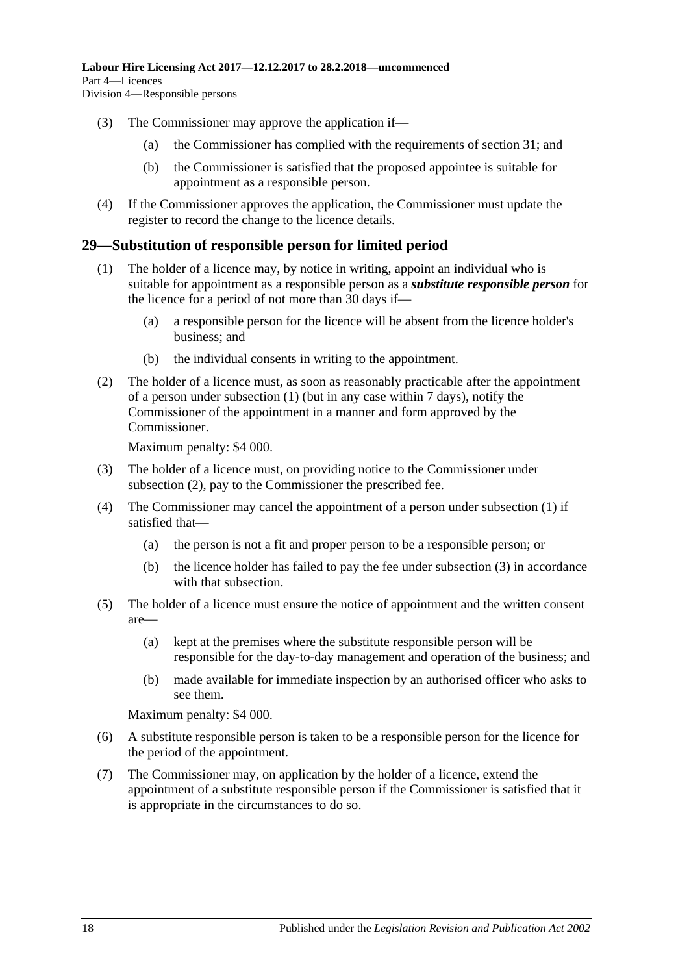- (3) The Commissioner may approve the application if—
	- (a) the Commissioner has complied with the requirements of [section](#page-18-1) 31; and
	- (b) the Commissioner is satisfied that the proposed appointee is suitable for appointment as a responsible person.
- (4) If the Commissioner approves the application, the Commissioner must update the register to record the change to the licence details.

#### <span id="page-17-1"></span><span id="page-17-0"></span>**29—Substitution of responsible person for limited period**

- (1) The holder of a licence may, by notice in writing, appoint an individual who is suitable for appointment as a responsible person as a *substitute responsible person* for the licence for a period of not more than 30 days if—
	- (a) a responsible person for the licence will be absent from the licence holder's business; and
	- (b) the individual consents in writing to the appointment.
- <span id="page-17-2"></span>(2) The holder of a licence must, as soon as reasonably practicable after the appointment of a person under [subsection](#page-17-1) (1) (but in any case within 7 days), notify the Commissioner of the appointment in a manner and form approved by the Commissioner.

Maximum penalty: \$4 000.

- <span id="page-17-3"></span>(3) The holder of a licence must, on providing notice to the Commissioner under [subsection](#page-17-2) (2), pay to the Commissioner the prescribed fee.
- <span id="page-17-4"></span>(4) The Commissioner may cancel the appointment of a person under [subsection](#page-17-1) (1) if satisfied that—
	- (a) the person is not a fit and proper person to be a responsible person; or
	- (b) the licence holder has failed to pay the fee under [subsection](#page-17-3) (3) in accordance with that subsection.
- (5) The holder of a licence must ensure the notice of appointment and the written consent are—
	- (a) kept at the premises where the substitute responsible person will be responsible for the day-to-day management and operation of the business; and
	- (b) made available for immediate inspection by an authorised officer who asks to see them.

Maximum penalty: \$4 000.

- (6) A substitute responsible person is taken to be a responsible person for the licence for the period of the appointment.
- <span id="page-17-5"></span>(7) The Commissioner may, on application by the holder of a licence, extend the appointment of a substitute responsible person if the Commissioner is satisfied that it is appropriate in the circumstances to do so.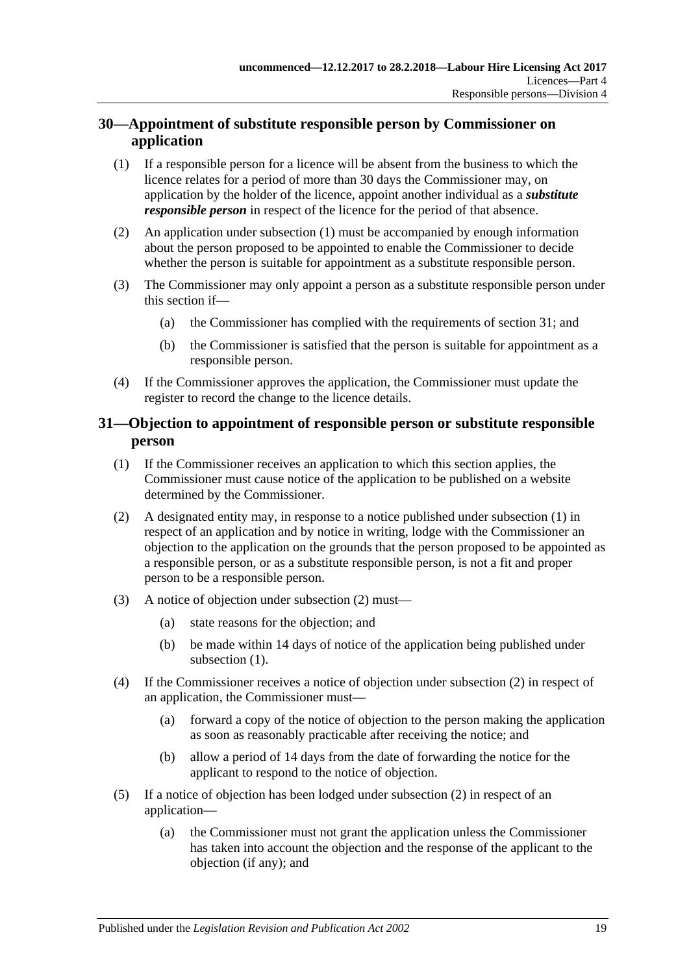### <span id="page-18-0"></span>**30—Appointment of substitute responsible person by Commissioner on application**

- <span id="page-18-2"></span>(1) If a responsible person for a licence will be absent from the business to which the licence relates for a period of more than 30 days the Commissioner may, on application by the holder of the licence, appoint another individual as a *substitute responsible person* in respect of the licence for the period of that absence.
- (2) An application under [subsection](#page-18-2) (1) must be accompanied by enough information about the person proposed to be appointed to enable the Commissioner to decide whether the person is suitable for appointment as a substitute responsible person.
- (3) The Commissioner may only appoint a person as a substitute responsible person under this section if—
	- (a) the Commissioner has complied with the requirements of [section](#page-18-1) 31; and
	- (b) the Commissioner is satisfied that the person is suitable for appointment as a responsible person.
- (4) If the Commissioner approves the application, the Commissioner must update the register to record the change to the licence details.

### <span id="page-18-1"></span>**31—Objection to appointment of responsible person or substitute responsible person**

- <span id="page-18-3"></span>(1) If the Commissioner receives an application to which this section applies, the Commissioner must cause notice of the application to be published on a website determined by the Commissioner.
- <span id="page-18-4"></span>(2) A designated entity may, in response to a notice published under [subsection](#page-18-3) (1) in respect of an application and by notice in writing, lodge with the Commissioner an objection to the application on the grounds that the person proposed to be appointed as a responsible person, or as a substitute responsible person, is not a fit and proper person to be a responsible person.
- (3) A notice of objection under [subsection](#page-18-4) (2) must—
	- (a) state reasons for the objection; and
	- (b) be made within 14 days of notice of the application being published under [subsection](#page-18-3)  $(1)$ .
- (4) If the Commissioner receives a notice of objection under [subsection](#page-18-4) (2) in respect of an application, the Commissioner must—
	- (a) forward a copy of the notice of objection to the person making the application as soon as reasonably practicable after receiving the notice; and
	- (b) allow a period of 14 days from the date of forwarding the notice for the applicant to respond to the notice of objection.
- (5) If a notice of objection has been lodged under [subsection](#page-18-4) (2) in respect of an application—
	- (a) the Commissioner must not grant the application unless the Commissioner has taken into account the objection and the response of the applicant to the objection (if any); and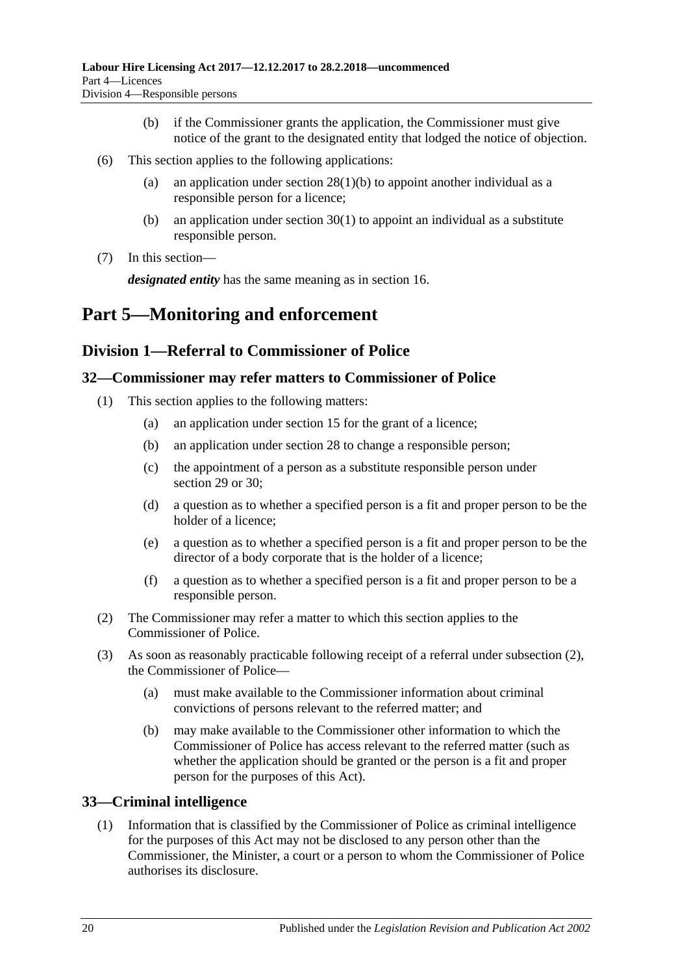- (b) if the Commissioner grants the application, the Commissioner must give notice of the grant to the designated entity that lodged the notice of objection.
- (6) This section applies to the following applications:
	- (a) an application under section  $28(1)(b)$  to appoint another individual as a responsible person for a licence;
	- (b) an application under [section](#page-18-2) 30(1) to appoint an individual as a substitute responsible person.
- (7) In this section—

*designated entity* has the same meaning as in [section](#page-10-0) 16.

# <span id="page-19-0"></span>**Part 5—Monitoring and enforcement**

### <span id="page-19-1"></span>**Division 1—Referral to Commissioner of Police**

### <span id="page-19-2"></span>**32—Commissioner may refer matters to Commissioner of Police**

- (1) This section applies to the following matters:
	- (a) an application under [section](#page-9-4) 15 for the grant of a licence;
	- (b) an application under [section](#page-16-5) 28 to change a responsible person;
	- (c) the appointment of a person as a substitute responsible person under [section](#page-17-0) 29 or [30;](#page-18-0)
	- (d) a question as to whether a specified person is a fit and proper person to be the holder of a licence;
	- (e) a question as to whether a specified person is a fit and proper person to be the director of a body corporate that is the holder of a licence;
	- (f) a question as to whether a specified person is a fit and proper person to be a responsible person.
- <span id="page-19-4"></span>(2) The Commissioner may refer a matter to which this section applies to the Commissioner of Police.
- (3) As soon as reasonably practicable following receipt of a referral under [subsection](#page-19-4) (2), the Commissioner of Police—
	- (a) must make available to the Commissioner information about criminal convictions of persons relevant to the referred matter; and
	- (b) may make available to the Commissioner other information to which the Commissioner of Police has access relevant to the referred matter (such as whether the application should be granted or the person is a fit and proper person for the purposes of this Act).

### <span id="page-19-3"></span>**33—Criminal intelligence**

(1) Information that is classified by the Commissioner of Police as criminal intelligence for the purposes of this Act may not be disclosed to any person other than the Commissioner, the Minister, a court or a person to whom the Commissioner of Police authorises its disclosure.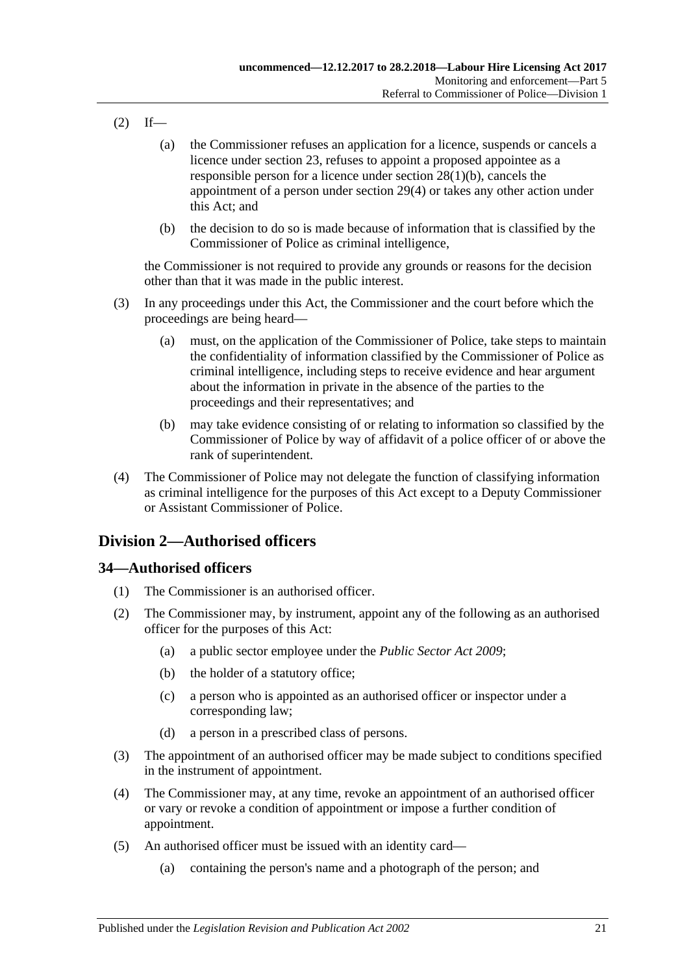- $(2)$  If—
	- (a) the Commissioner refuses an application for a licence, suspends or cancels a licence under [section](#page-15-1) 23, refuses to appoint a proposed appointee as a responsible person for a licence under section [28\(1\)\(b\),](#page-16-10) cancels the appointment of a person under [section](#page-17-4) 29(4) or takes any other action under this Act; and
	- (b) the decision to do so is made because of information that is classified by the Commissioner of Police as criminal intelligence,

the Commissioner is not required to provide any grounds or reasons for the decision other than that it was made in the public interest.

- (3) In any proceedings under this Act, the Commissioner and the court before which the proceedings are being heard—
	- (a) must, on the application of the Commissioner of Police, take steps to maintain the confidentiality of information classified by the Commissioner of Police as criminal intelligence, including steps to receive evidence and hear argument about the information in private in the absence of the parties to the proceedings and their representatives; and
	- (b) may take evidence consisting of or relating to information so classified by the Commissioner of Police by way of affidavit of a police officer of or above the rank of superintendent.
- (4) The Commissioner of Police may not delegate the function of classifying information as criminal intelligence for the purposes of this Act except to a Deputy Commissioner or Assistant Commissioner of Police.

### <span id="page-20-0"></span>**Division 2—Authorised officers**

### <span id="page-20-1"></span>**34—Authorised officers**

- (1) The Commissioner is an authorised officer.
- (2) The Commissioner may, by instrument, appoint any of the following as an authorised officer for the purposes of this Act:
	- (a) a public sector employee under the *[Public Sector Act](http://www.legislation.sa.gov.au/index.aspx?action=legref&type=act&legtitle=Public%20Sector%20Act%202009) 2009*;
	- (b) the holder of a statutory office;
	- (c) a person who is appointed as an authorised officer or inspector under a corresponding law;
	- (d) a person in a prescribed class of persons.
- (3) The appointment of an authorised officer may be made subject to conditions specified in the instrument of appointment.
- (4) The Commissioner may, at any time, revoke an appointment of an authorised officer or vary or revoke a condition of appointment or impose a further condition of appointment.
- (5) An authorised officer must be issued with an identity card—
	- (a) containing the person's name and a photograph of the person; and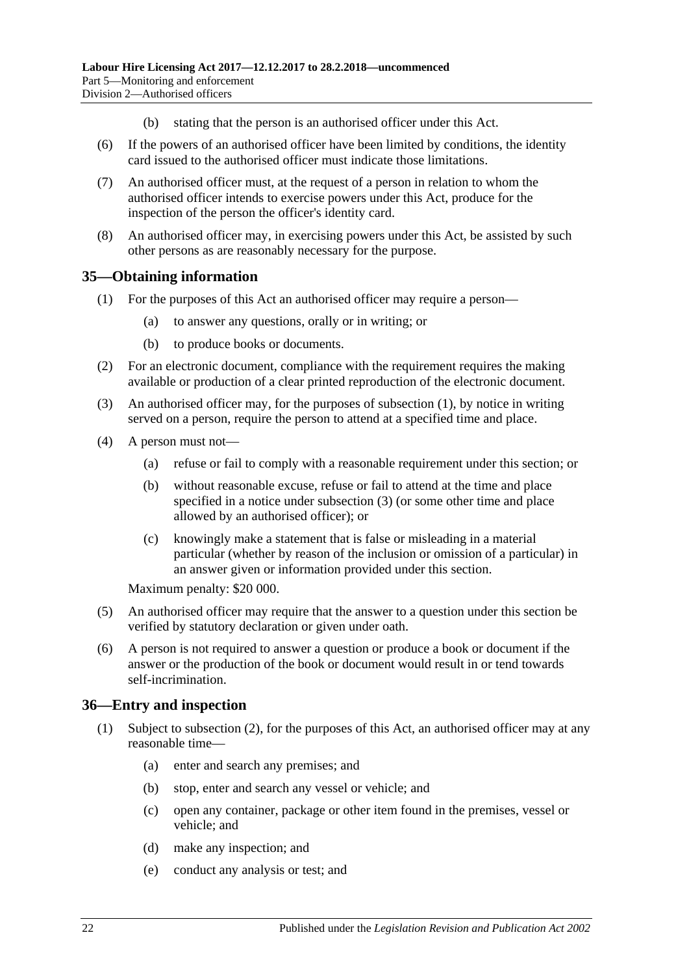- (b) stating that the person is an authorised officer under this Act.
- (6) If the powers of an authorised officer have been limited by conditions, the identity card issued to the authorised officer must indicate those limitations.
- (7) An authorised officer must, at the request of a person in relation to whom the authorised officer intends to exercise powers under this Act, produce for the inspection of the person the officer's identity card.
- (8) An authorised officer may, in exercising powers under this Act, be assisted by such other persons as are reasonably necessary for the purpose.

### <span id="page-21-2"></span><span id="page-21-0"></span>**35—Obtaining information**

- (1) For the purposes of this Act an authorised officer may require a person—
	- (a) to answer any questions, orally or in writing; or
	- (b) to produce books or documents.
- (2) For an electronic document, compliance with the requirement requires the making available or production of a clear printed reproduction of the electronic document.
- <span id="page-21-3"></span>(3) An authorised officer may, for the purposes of [subsection](#page-21-2) (1), by notice in writing served on a person, require the person to attend at a specified time and place.
- (4) A person must not—
	- (a) refuse or fail to comply with a reasonable requirement under this section; or
	- (b) without reasonable excuse, refuse or fail to attend at the time and place specified in a notice under [subsection](#page-21-3) (3) (or some other time and place allowed by an authorised officer); or
	- (c) knowingly make a statement that is false or misleading in a material particular (whether by reason of the inclusion or omission of a particular) in an answer given or information provided under this section.

Maximum penalty: \$20 000.

- (5) An authorised officer may require that the answer to a question under this section be verified by statutory declaration or given under oath.
- (6) A person is not required to answer a question or produce a book or document if the answer or the production of the book or document would result in or tend towards self-incrimination.

#### <span id="page-21-5"></span><span id="page-21-1"></span>**36—Entry and inspection**

- <span id="page-21-4"></span>(1) Subject to [subsection](#page-22-1) (2), for the purposes of this Act, an authorised officer may at any reasonable time—
	- (a) enter and search any premises; and
	- (b) stop, enter and search any vessel or vehicle; and
	- (c) open any container, package or other item found in the premises, vessel or vehicle; and
	- (d) make any inspection; and
	- (e) conduct any analysis or test; and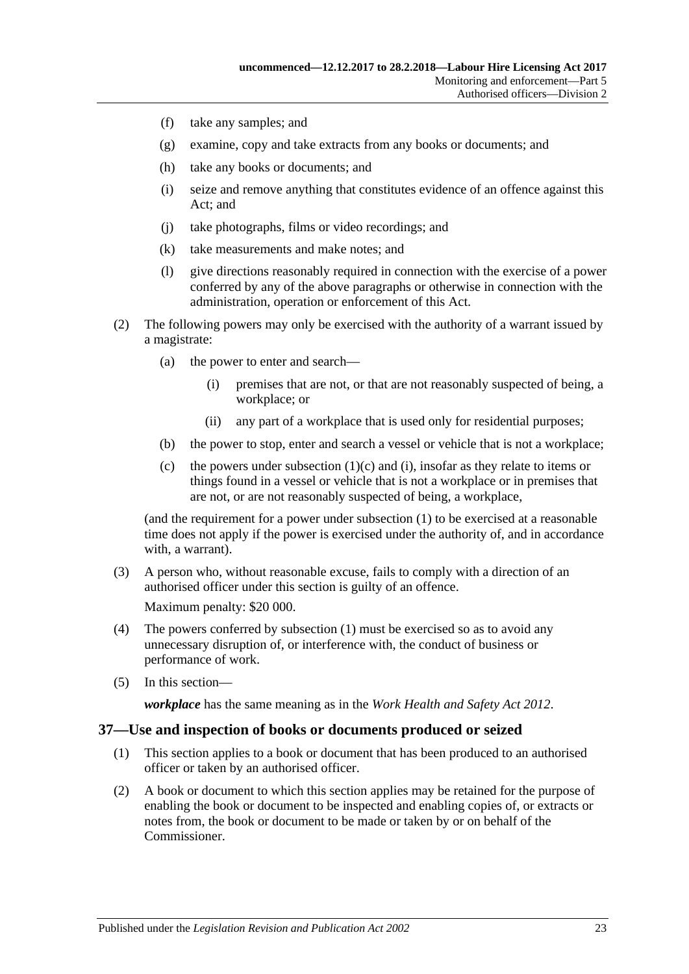- (f) take any samples; and
- (g) examine, copy and take extracts from any books or documents; and
- (h) take any books or documents; and
- <span id="page-22-2"></span>(i) seize and remove anything that constitutes evidence of an offence against this Act; and
- (j) take photographs, films or video recordings; and
- (k) take measurements and make notes; and
- (l) give directions reasonably required in connection with the exercise of a power conferred by any of the above paragraphs or otherwise in connection with the administration, operation or enforcement of this Act.
- <span id="page-22-1"></span>(2) The following powers may only be exercised with the authority of a warrant issued by a magistrate:
	- (a) the power to enter and search—
		- (i) premises that are not, or that are not reasonably suspected of being, a workplace; or
		- (ii) any part of a workplace that is used only for residential purposes;
	- (b) the power to stop, enter and search a vessel or vehicle that is not a workplace;
	- (c) the powers under [subsection](#page-21-4)  $(1)(c)$  and  $(i)$ , insofar as they relate to items or things found in a vessel or vehicle that is not a workplace or in premises that are not, or are not reasonably suspected of being, a workplace,

(and the requirement for a power under [subsection](#page-21-5) (1) to be exercised at a reasonable time does not apply if the power is exercised under the authority of, and in accordance with, a warrant).

(3) A person who, without reasonable excuse, fails to comply with a direction of an authorised officer under this section is guilty of an offence.

Maximum penalty: \$20 000.

- (4) The powers conferred by [subsection](#page-21-5) (1) must be exercised so as to avoid any unnecessary disruption of, or interference with, the conduct of business or performance of work.
- (5) In this section—

*workplace* has the same meaning as in the *[Work Health and Safety Act](http://www.legislation.sa.gov.au/index.aspx?action=legref&type=act&legtitle=Work%20Health%20and%20Safety%20Act%202012) 2012*.

#### <span id="page-22-0"></span>**37—Use and inspection of books or documents produced or seized**

- (1) This section applies to a book or document that has been produced to an authorised officer or taken by an authorised officer.
- (2) A book or document to which this section applies may be retained for the purpose of enabling the book or document to be inspected and enabling copies of, or extracts or notes from, the book or document to be made or taken by or on behalf of the Commissioner.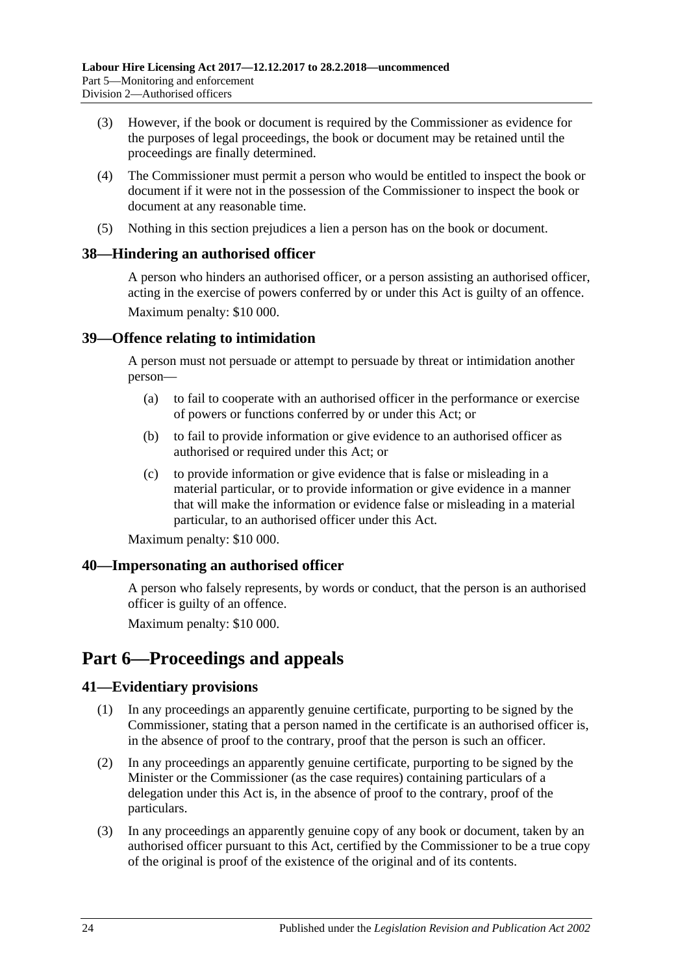- (3) However, if the book or document is required by the Commissioner as evidence for the purposes of legal proceedings, the book or document may be retained until the proceedings are finally determined.
- (4) The Commissioner must permit a person who would be entitled to inspect the book or document if it were not in the possession of the Commissioner to inspect the book or document at any reasonable time.
- (5) Nothing in this section prejudices a lien a person has on the book or document.

### <span id="page-23-0"></span>**38—Hindering an authorised officer**

A person who hinders an authorised officer, or a person assisting an authorised officer, acting in the exercise of powers conferred by or under this Act is guilty of an offence. Maximum penalty: \$10 000.

### <span id="page-23-1"></span>**39—Offence relating to intimidation**

A person must not persuade or attempt to persuade by threat or intimidation another person—

- (a) to fail to cooperate with an authorised officer in the performance or exercise of powers or functions conferred by or under this Act; or
- (b) to fail to provide information or give evidence to an authorised officer as authorised or required under this Act; or
- (c) to provide information or give evidence that is false or misleading in a material particular, or to provide information or give evidence in a manner that will make the information or evidence false or misleading in a material particular, to an authorised officer under this Act.

Maximum penalty: \$10 000.

### <span id="page-23-2"></span>**40—Impersonating an authorised officer**

A person who falsely represents, by words or conduct, that the person is an authorised officer is guilty of an offence.

Maximum penalty: \$10 000.

# <span id="page-23-3"></span>**Part 6—Proceedings and appeals**

### <span id="page-23-4"></span>**41—Evidentiary provisions**

- (1) In any proceedings an apparently genuine certificate, purporting to be signed by the Commissioner, stating that a person named in the certificate is an authorised officer is, in the absence of proof to the contrary, proof that the person is such an officer.
- (2) In any proceedings an apparently genuine certificate, purporting to be signed by the Minister or the Commissioner (as the case requires) containing particulars of a delegation under this Act is, in the absence of proof to the contrary, proof of the particulars.
- (3) In any proceedings an apparently genuine copy of any book or document, taken by an authorised officer pursuant to this Act, certified by the Commissioner to be a true copy of the original is proof of the existence of the original and of its contents.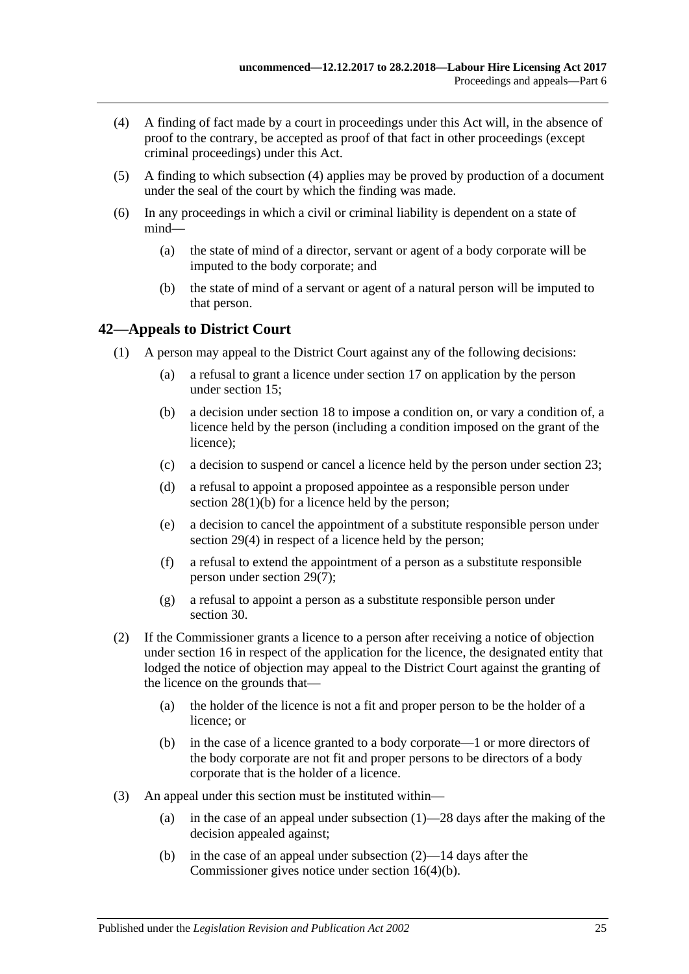- <span id="page-24-1"></span>(4) A finding of fact made by a court in proceedings under this Act will, in the absence of proof to the contrary, be accepted as proof of that fact in other proceedings (except criminal proceedings) under this Act.
- (5) A finding to which [subsection](#page-24-1) (4) applies may be proved by production of a document under the seal of the court by which the finding was made.
- (6) In any proceedings in which a civil or criminal liability is dependent on a state of mind—
	- (a) the state of mind of a director, servant or agent of a body corporate will be imputed to the body corporate; and
	- (b) the state of mind of a servant or agent of a natural person will be imputed to that person.

### <span id="page-24-2"></span><span id="page-24-0"></span>**42—Appeals to District Court**

- (1) A person may appeal to the District Court against any of the following decisions:
	- (a) a refusal to grant a licence under [section](#page-11-0) 17 on application by the person under [section](#page-9-4) 15;
	- (b) a decision under [section](#page-12-0) 18 to impose a condition on, or vary a condition of, a licence held by the person (including a condition imposed on the grant of the licence);
	- (c) a decision to suspend or cancel a licence held by the person under [section](#page-15-1) 23;
	- (d) a refusal to appoint a proposed appointee as a responsible person under section [28\(1\)\(b\)](#page-16-10) for a licence held by the person;
	- (e) a decision to cancel the appointment of a substitute responsible person under [section](#page-17-4) 29(4) in respect of a licence held by the person;
	- (f) a refusal to extend the appointment of a person as a substitute responsible person under [section](#page-17-5) 29(7);
	- (g) a refusal to appoint a person as a substitute responsible person under [section](#page-18-0) 30.
- <span id="page-24-3"></span>(2) If the Commissioner grants a licence to a person after receiving a notice of objection under [section](#page-10-0) 16 in respect of the application for the licence, the designated entity that lodged the notice of objection may appeal to the District Court against the granting of the licence on the grounds that—
	- (a) the holder of the licence is not a fit and proper person to be the holder of a licence; or
	- (b) in the case of a licence granted to a body corporate—1 or more directors of the body corporate are not fit and proper persons to be directors of a body corporate that is the holder of a licence.
- (3) An appeal under this section must be instituted within
	- (a) in the case of an appeal under [subsection](#page-24-2)  $(1)$ —28 days after the making of the decision appealed against;
	- (b) in the case of an appeal under [subsection](#page-24-3) (2)—14 days after the Commissioner gives notice under section [16\(4\)\(b\).](#page-11-3)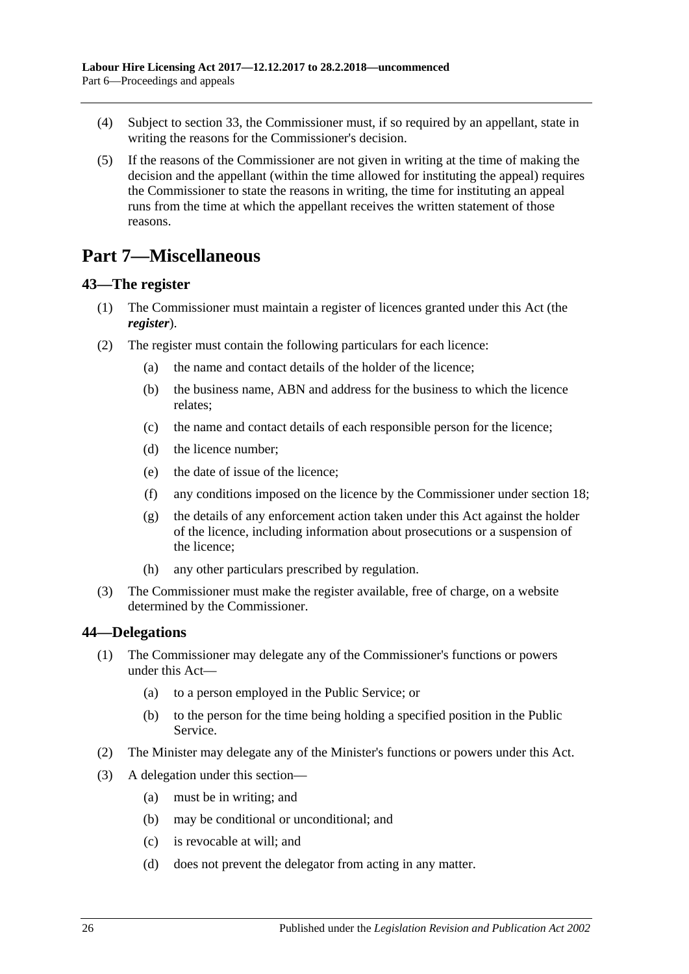- (4) Subject to [section](#page-19-3) 33, the Commissioner must, if so required by an appellant, state in writing the reasons for the Commissioner's decision.
- (5) If the reasons of the Commissioner are not given in writing at the time of making the decision and the appellant (within the time allowed for instituting the appeal) requires the Commissioner to state the reasons in writing, the time for instituting an appeal runs from the time at which the appellant receives the written statement of those reasons.

# <span id="page-25-0"></span>**Part 7—Miscellaneous**

### <span id="page-25-3"></span><span id="page-25-1"></span>**43—The register**

- (1) The Commissioner must maintain a register of licences granted under this Act (the *register*).
- (2) The register must contain the following particulars for each licence:
	- (a) the name and contact details of the holder of the licence;
	- (b) the business name, ABN and address for the business to which the licence relates;
	- (c) the name and contact details of each responsible person for the licence;
	- (d) the licence number;
	- (e) the date of issue of the licence;
	- (f) any conditions imposed on the licence by the Commissioner under [section](#page-12-0) 18;
	- (g) the details of any enforcement action taken under this Act against the holder of the licence, including information about prosecutions or a suspension of the licence;
	- (h) any other particulars prescribed by regulation.
- (3) The Commissioner must make the register available, free of charge, on a website determined by the Commissioner.

### <span id="page-25-2"></span>**44—Delegations**

- (1) The Commissioner may delegate any of the Commissioner's functions or powers under this Act—
	- (a) to a person employed in the Public Service; or
	- (b) to the person for the time being holding a specified position in the Public Service.
- (2) The Minister may delegate any of the Minister's functions or powers under this Act.
- (3) A delegation under this section—
	- (a) must be in writing; and
	- (b) may be conditional or unconditional; and
	- (c) is revocable at will; and
	- (d) does not prevent the delegator from acting in any matter.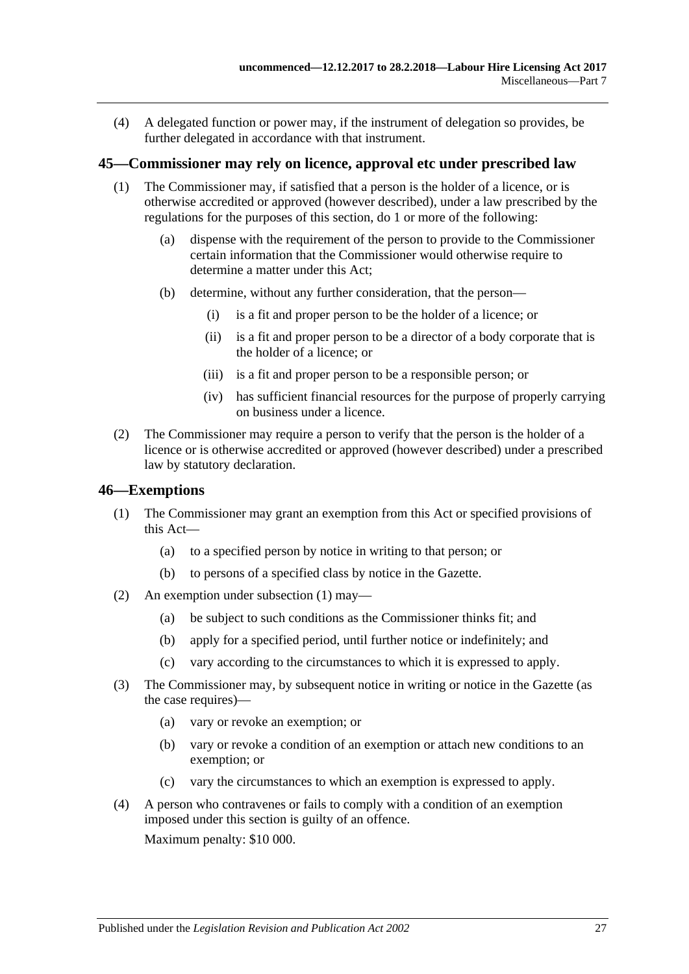(4) A delegated function or power may, if the instrument of delegation so provides, be further delegated in accordance with that instrument.

### <span id="page-26-0"></span>**45—Commissioner may rely on licence, approval etc under prescribed law**

- (1) The Commissioner may, if satisfied that a person is the holder of a licence, or is otherwise accredited or approved (however described), under a law prescribed by the regulations for the purposes of this section, do 1 or more of the following:
	- (a) dispense with the requirement of the person to provide to the Commissioner certain information that the Commissioner would otherwise require to determine a matter under this Act;
	- (b) determine, without any further consideration, that the person—
		- (i) is a fit and proper person to be the holder of a licence; or
		- (ii) is a fit and proper person to be a director of a body corporate that is the holder of a licence; or
		- (iii) is a fit and proper person to be a responsible person; or
		- (iv) has sufficient financial resources for the purpose of properly carrying on business under a licence.
- (2) The Commissioner may require a person to verify that the person is the holder of a licence or is otherwise accredited or approved (however described) under a prescribed law by statutory declaration.

#### <span id="page-26-2"></span><span id="page-26-1"></span>**46—Exemptions**

- (1) The Commissioner may grant an exemption from this Act or specified provisions of this Act—
	- (a) to a specified person by notice in writing to that person; or
	- (b) to persons of a specified class by notice in the Gazette.
- (2) An exemption under [subsection](#page-26-2) (1) may—
	- (a) be subject to such conditions as the Commissioner thinks fit; and
	- (b) apply for a specified period, until further notice or indefinitely; and
	- (c) vary according to the circumstances to which it is expressed to apply.
- (3) The Commissioner may, by subsequent notice in writing or notice in the Gazette (as the case requires)—
	- (a) vary or revoke an exemption; or
	- (b) vary or revoke a condition of an exemption or attach new conditions to an exemption; or
	- (c) vary the circumstances to which an exemption is expressed to apply.
- (4) A person who contravenes or fails to comply with a condition of an exemption imposed under this section is guilty of an offence. Maximum penalty: \$10 000.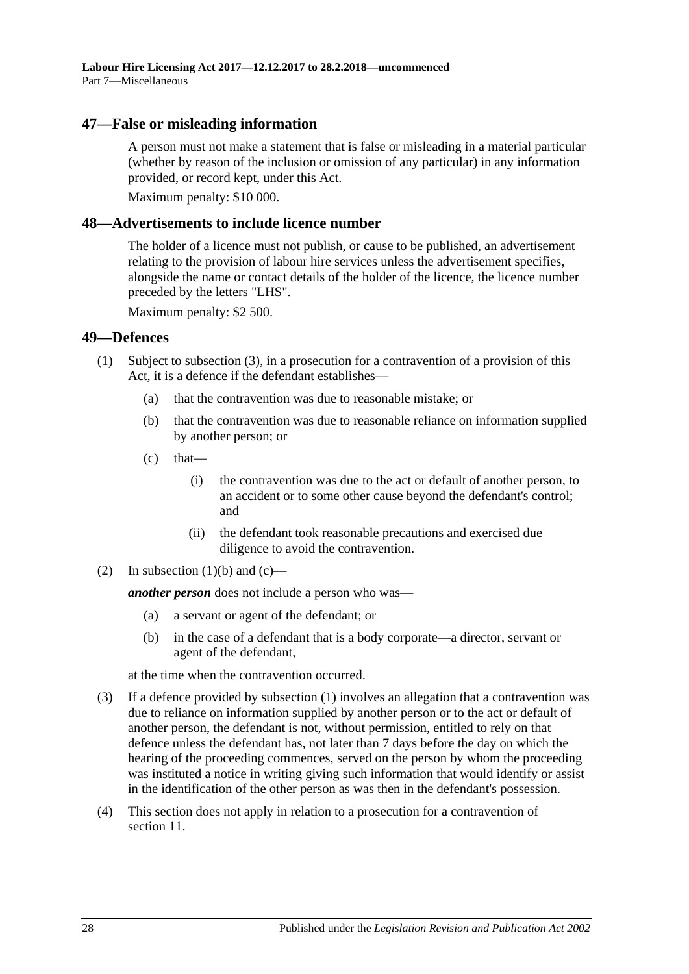### <span id="page-27-0"></span>**47—False or misleading information**

A person must not make a statement that is false or misleading in a material particular (whether by reason of the inclusion or omission of any particular) in any information provided, or record kept, under this Act.

Maximum penalty: \$10 000.

### <span id="page-27-1"></span>**48—Advertisements to include licence number**

The holder of a licence must not publish, or cause to be published, an advertisement relating to the provision of labour hire services unless the advertisement specifies, alongside the name or contact details of the holder of the licence, the licence number preceded by the letters "LHS".

Maximum penalty: \$2 500.

#### <span id="page-27-6"></span><span id="page-27-2"></span>**49—Defences**

- <span id="page-27-5"></span><span id="page-27-4"></span>(1) Subject to [subsection](#page-27-3) (3), in a prosecution for a contravention of a provision of this Act, it is a defence if the defendant establishes—
	- (a) that the contravention was due to reasonable mistake; or
	- (b) that the contravention was due to reasonable reliance on information supplied by another person; or
	- $(c)$  that—
		- (i) the contravention was due to the act or default of another person, to an accident or to some other cause beyond the defendant's control; and
		- (ii) the defendant took reasonable precautions and exercised due diligence to avoid the contravention.
- (2) In [subsection](#page-27-4)  $(1)(b)$  and  $(c)$ —

*another person* does not include a person who was—

- (a) a servant or agent of the defendant; or
- (b) in the case of a defendant that is a body corporate—a director, servant or agent of the defendant,

at the time when the contravention occurred.

- <span id="page-27-3"></span>(3) If a defence provided by [subsection](#page-27-6) (1) involves an allegation that a contravention was due to reliance on information supplied by another person or to the act or default of another person, the defendant is not, without permission, entitled to rely on that defence unless the defendant has, not later than 7 days before the day on which the hearing of the proceeding commences, served on the person by whom the proceeding was instituted a notice in writing giving such information that would identify or assist in the identification of the other person as was then in the defendant's possession.
- (4) This section does not apply in relation to a prosecution for a contravention of [section](#page-8-1) 11.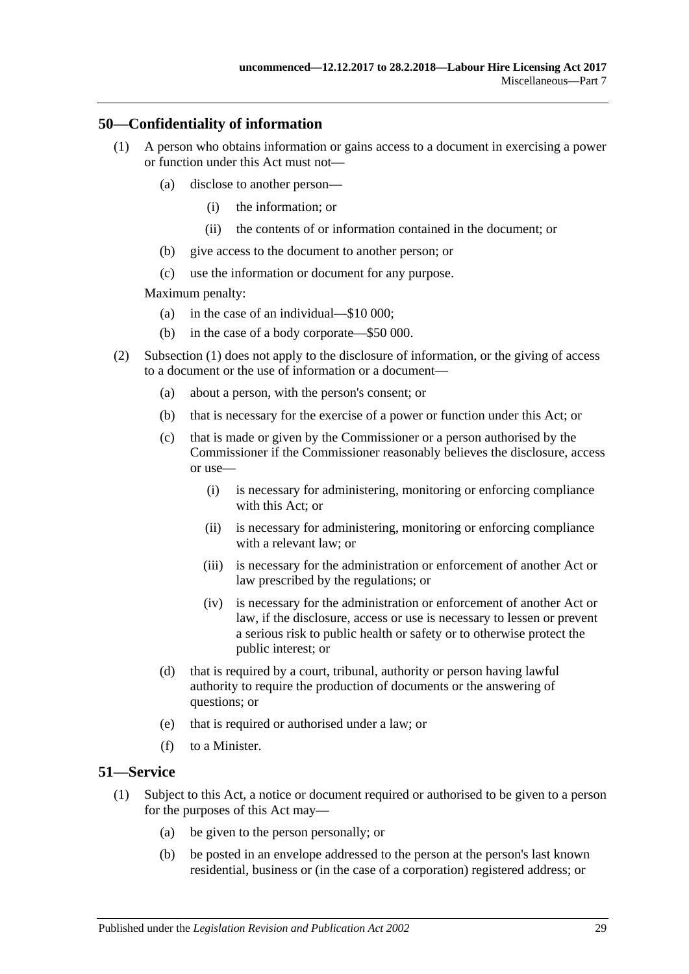### <span id="page-28-2"></span><span id="page-28-0"></span>**50—Confidentiality of information**

- (1) A person who obtains information or gains access to a document in exercising a power or function under this Act must not—
	- (a) disclose to another person—
		- (i) the information; or
		- (ii) the contents of or information contained in the document; or
	- (b) give access to the document to another person; or
	- (c) use the information or document for any purpose.

Maximum penalty:

- (a) in the case of an individual—\$10 000;
- (b) in the case of a body corporate—\$50 000.
- (2) [Subsection \(1\)](#page-28-2) does not apply to the disclosure of information, or the giving of access to a document or the use of information or a document—
	- (a) about a person, with the person's consent; or
	- (b) that is necessary for the exercise of a power or function under this Act; or
	- (c) that is made or given by the Commissioner or a person authorised by the Commissioner if the Commissioner reasonably believes the disclosure, access or use—
		- (i) is necessary for administering, monitoring or enforcing compliance with this Act; or
		- (ii) is necessary for administering, monitoring or enforcing compliance with a relevant law; or
		- (iii) is necessary for the administration or enforcement of another Act or law prescribed by the regulations; or
		- (iv) is necessary for the administration or enforcement of another Act or law, if the disclosure, access or use is necessary to lessen or prevent a serious risk to public health or safety or to otherwise protect the public interest; or
	- (d) that is required by a court, tribunal, authority or person having lawful authority to require the production of documents or the answering of questions; or
	- (e) that is required or authorised under a law; or
	- (f) to a Minister.

#### <span id="page-28-3"></span><span id="page-28-1"></span>**51—Service**

- (1) Subject to this Act, a notice or document required or authorised to be given to a person for the purposes of this Act may—
	- (a) be given to the person personally; or
	- (b) be posted in an envelope addressed to the person at the person's last known residential, business or (in the case of a corporation) registered address; or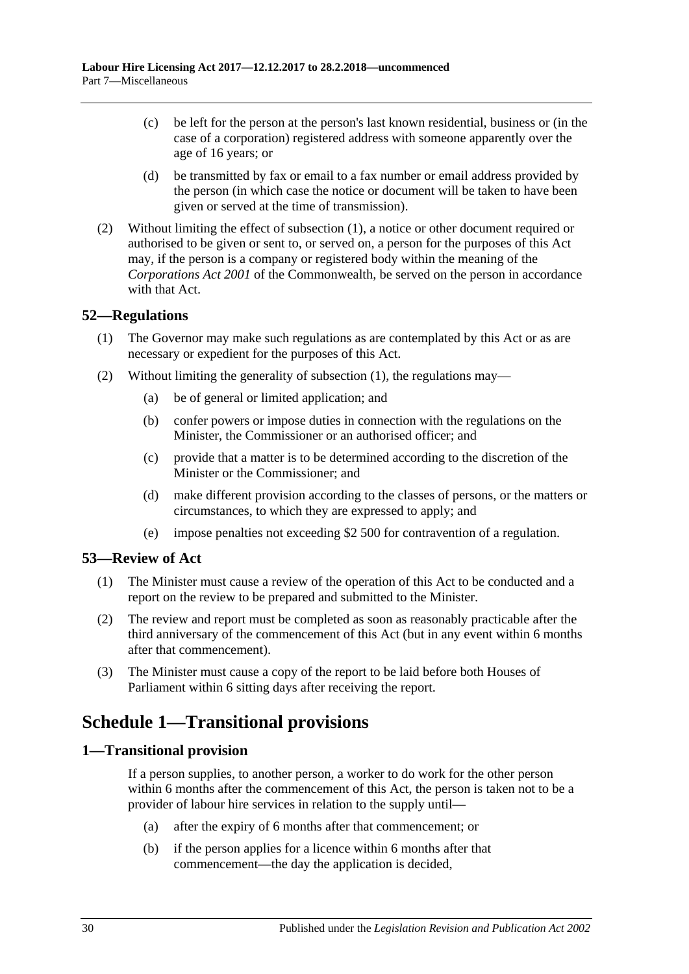- (c) be left for the person at the person's last known residential, business or (in the case of a corporation) registered address with someone apparently over the age of 16 years; or
- (d) be transmitted by fax or email to a fax number or email address provided by the person (in which case the notice or document will be taken to have been given or served at the time of transmission).
- (2) Without limiting the effect of [subsection](#page-28-3) (1), a notice or other document required or authorised to be given or sent to, or served on, a person for the purposes of this Act may, if the person is a company or registered body within the meaning of the *Corporations Act 2001* of the Commonwealth, be served on the person in accordance with that Act.

### <span id="page-29-4"></span><span id="page-29-0"></span>**52—Regulations**

- (1) The Governor may make such regulations as are contemplated by this Act or as are necessary or expedient for the purposes of this Act.
- (2) Without limiting the generality of [subsection](#page-29-4) (1), the regulations may—
	- (a) be of general or limited application; and
	- (b) confer powers or impose duties in connection with the regulations on the Minister, the Commissioner or an authorised officer; and
	- (c) provide that a matter is to be determined according to the discretion of the Minister or the Commissioner; and
	- (d) make different provision according to the classes of persons, or the matters or circumstances, to which they are expressed to apply; and
	- (e) impose penalties not exceeding \$2 500 for contravention of a regulation.

### <span id="page-29-1"></span>**53—Review of Act**

- (1) The Minister must cause a review of the operation of this Act to be conducted and a report on the review to be prepared and submitted to the Minister.
- (2) The review and report must be completed as soon as reasonably practicable after the third anniversary of the commencement of this Act (but in any event within 6 months after that commencement).
- (3) The Minister must cause a copy of the report to be laid before both Houses of Parliament within 6 sitting days after receiving the report.

# <span id="page-29-2"></span>**Schedule 1—Transitional provisions**

### <span id="page-29-3"></span>**1—Transitional provision**

If a person supplies, to another person, a worker to do work for the other person within 6 months after the commencement of this Act, the person is taken not to be a provider of labour hire services in relation to the supply until—

- (a) after the expiry of 6 months after that commencement; or
- (b) if the person applies for a licence within 6 months after that commencement—the day the application is decided,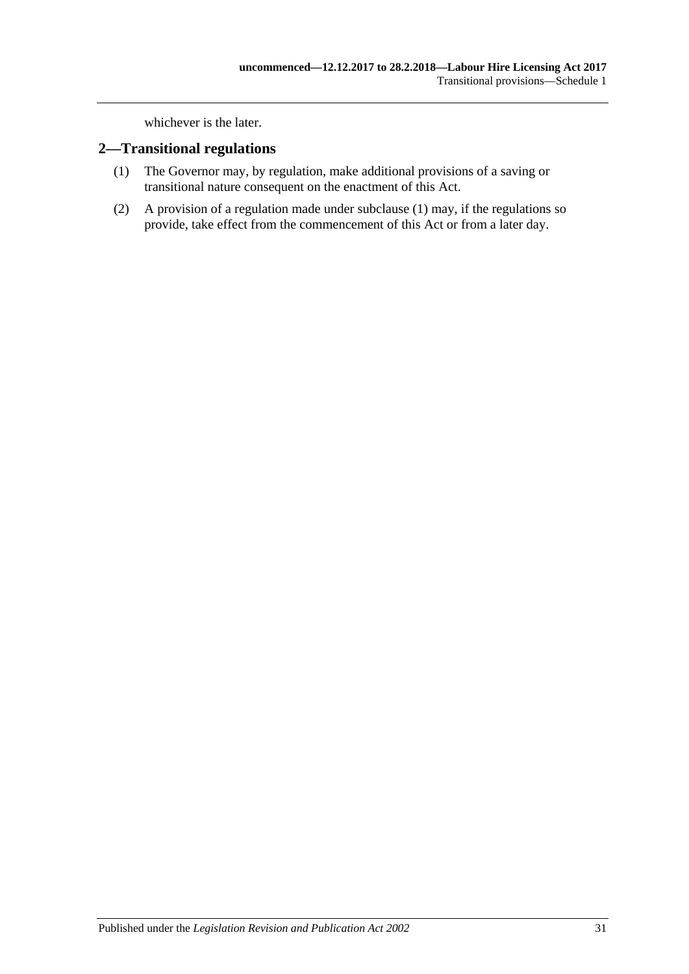whichever is the later.

### <span id="page-30-1"></span><span id="page-30-0"></span>**2—Transitional regulations**

- (1) The Governor may, by regulation, make additional provisions of a saving or transitional nature consequent on the enactment of this Act.
- (2) A provision of a regulation made under [subclause](#page-30-1) (1) may, if the regulations so provide, take effect from the commencement of this Act or from a later day.